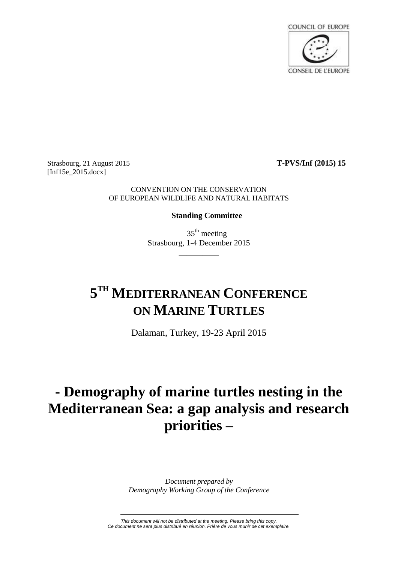

Strasbourg, 21 August 2015 **T-PVS/Inf (2015) 15** [Inf15e\_2015.docx]

# CONVENTION ON THE CONSERVATION OF EUROPEAN WILDLIFE AND NATURAL HABITATS

# **Standing Committee**

 $35<sup>th</sup>$  meeting Strasbourg, 1-4 December 2015

\_\_\_\_\_\_\_\_\_\_

# **5 TH MEDITERRANEAN CONFERENCE ON MARINE TURTLES**

Dalaman, Turkey, 19-23 April 2015

# **- Demography of marine turtles nesting in the Mediterranean Sea: a gap analysis and research priorities –**

*Document prepared by Demography Working Group of the Conference*

*This document will not be distributed at the meeting. Please bring this copy. Ce document ne sera plus distribué en réunion. Prière de vous munir de cet exemplaire.*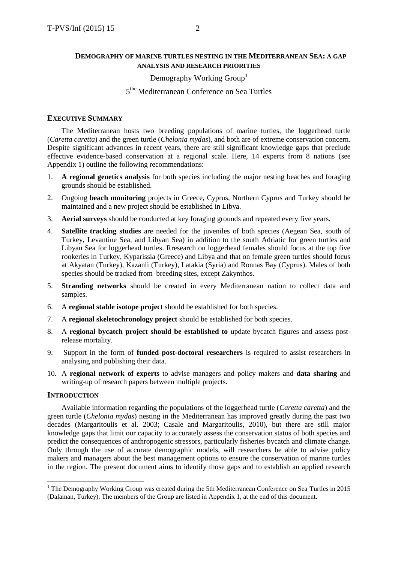# **DEMOGRAPHY OF MARINE TURTLES NESTING IN THE MEDITERRANEAN SEA: A GAP ANALYSIS AND RESEARCH PRIORITIES**

# Demography Working Group<sup>1</sup>

# 5<sup>the</sup> Mediterranean Conference on Sea Turtles

# **EXECUTIVE SUMMARY**

The Mediterranean hosts two breeding populations of marine turtles, the loggerhead turtle (*Caretta caretta*) and the green turtle (*Chelonia mydas*), and both are of extreme conservation concern. Despite significant advances in recent years, there are still significant knowledge gaps that preclude effective evidence-based conservation at a regional scale. Here, 14 experts from 8 nations (see Appendix 1) outline the following recommendations:

- 1. **A regional genetics analysis** for both species including the major nesting beaches and foraging grounds should be established.
- 2. Ongoing **beach monitoring** projects in Greece, Cyprus, Northern Cyprus and Turkey should be maintained and a new project should be established in Libya.
- 3. **Aerial surveys** should be conducted at key foraging grounds and repeated every five years.
- 4. **Satellite tracking studies** are needed for the juveniles of both species (Aegean Sea, south of Turkey, Levantine Sea, and Libyan Sea) in addition to the south Adriatic for green turtles and Libyan Sea for loggerhead turtles. Rresearch on loggerhead females should focus at the top five rookeries in Turkey, Kyparissia (Greece) and Libya and that on female green turtles should focus at Akyatan (Turkey), Kazanli (Turkey), Latakia (Syria) and Ronnas Bay (Cyprus). Males of both species should be tracked from breeding sites, except Zakynthos.
- 5. **Stranding networks** should be created in every Mediterranean nation to collect data and samples.
- 6. A **regional stable isotope project** should be established for both species.
- 7. A **regional skeletochronology project** should be established for both species.
- 8. A **regional bycatch project should be established to** update bycatch figures and assess postrelease mortality.
- 9. Support in the form of **funded post-doctoral researchers** is required to assist researchers in analysing and publishing their data.
- 10. A **regional network of experts** to advise managers and policy makers and **data sharing** and writing-up of research papers between multiple projects.

# **INTRODUCTION**

<u>.</u>

Available information regarding the populations of the loggerhead turtle (*Caretta caretta*) and the green turtle (*Chelonia mydas*) nesting in the Mediterranean has improved greatly during the past two decades (Margaritoulis et al. 2003; Casale and Margaritoulis, 2010), but there are still major knowledge gaps that limit our capacity to accurately assess the conservation status of both species and predict the consequences of anthropogenic stressors, particularly fisheries bycatch and climate change. Only through the use of accurate demographic models, will researchers be able to advise policy makers and managers about the best management options to ensure the conservation of marine turtles in the region. The present document aims to identify those gaps and to establish an applied research

 $1$  The Demography Working Group was created during the 5th Mediterranean Conference on Sea Turtles in 2015 (Dalaman, Turkey). The members of the Group are listed in Appendix 1, at the end of this document.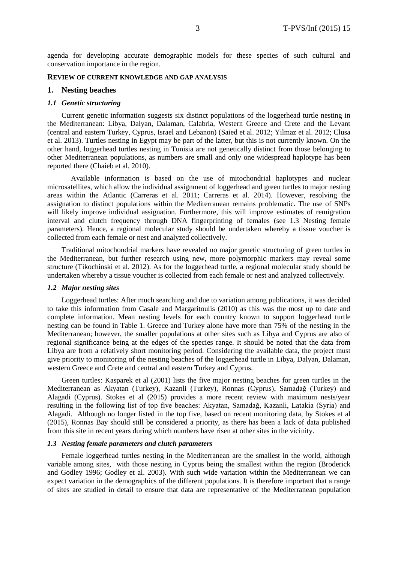agenda for developing accurate demographic models for these species of such cultural and conservation importance in the region.

# **REVIEW OF CURRENT KNOWLEDGE AND GAP ANALYSIS**

#### **1. Nesting beaches**

#### *1.1 Genetic structuring*

Current genetic information suggests six distinct populations of the loggerhead turtle nesting in the Mediterranean: Libya, Dalyan, Dalaman, Calabria, Western Greece and Crete and the Levant (central and eastern Turkey, Cyprus, Israel and Lebanon) (Saied et al. 2012; Yilmaz et al. 2012; Clusa et al. 2013). Turtles nesting in Egypt may be part of the latter, but this is not currently known. On the other hand, loggerhead turtles nesting in Tunisia are not genetically distinct from those belonging to other Mediterranean populations, as numbers are small and only one widespread haplotype has been reported there (Chaieb et al. 2010).

Available information is based on the use of mitochondrial haplotypes and nuclear microsatellites, which allow the individual assignment of loggerhead and green turtles to major nesting areas within the Atlantic (Carreras et al. 2011; Carreras et al. 2014). However, resolving the assignation to distinct populations within the Mediterranean remains problematic. The use of SNPs will likely improve individual assignation. Furthermore, this will improve estimates of remigration interval and clutch frequency through DNA fingerprinting of females (see 1.3 Nesting female parameters). Hence, a regional molecular study should be undertaken whereby a tissue voucher is collected from each female or nest and analyzed collectively.

Traditional mitochondrial markers have revealed no major genetic structuring of green turtles in the Mediterranean, but further research using new, more polymorphic markers may reveal some structure (Tikochinski et al. 2012). As for the loggerhead turtle, a regional molecular study should be undertaken whereby a tissue voucher is collected from each female or nest and analyzed collectively.

# *1.2 Major nesting sites*

Loggerhead turtles: After much searching and due to variation among publications, it was decided to take this information from Casale and Margaritoulis (2010) as this was the most up to date and complete information. Mean nesting levels for each country known to support loggerhead turtle nesting can be found in Table 1. Greece and Turkey alone have more than 75% of the nesting in the Mediterranean; however, the smaller populations at other sites such as Libya and Cyprus are also of regional significance being at the edges of the species range. It should be noted that the data from Libya are from a relatively short monitoring period. Considering the available data, the project must give priority to monitoring of the nesting beaches of the loggerhead turtle in Libya, Dalyan, Dalaman, western Greece and Crete and central and eastern Turkey and Cyprus.

Green turtles: Kasparek et al (2001) lists the five major nesting beaches for green turtles in the Mediterranean as Akyatan (Turkey), Kazanli (Turkey), Ronnas (Cyprus), Samadağ (Turkey) and Alagadi (Cyprus). Stokes et al (2015) provides a more recent review with maximum nests/year resulting in the following list of top five beaches: Akyatan, Samadağ, Kazanli, Latakia (Syria) and Alagadi. Although no longer listed in the top five, based on recent monitoring data, by Stokes et al (2015), Ronnas Bay should still be considered a priority, as there has been a lack of data published from this site in recent years during which numbers have risen at other sites in the vicinity.

# *1.3 Nesting female parameters and clutch parameters*

Female loggerhead turtles nesting in the Mediterranean are the smallest in the world, although variable among sites, with those nesting in Cyprus being the smallest within the region (Broderick and Godley 1996; Godley et al. 2003). With such wide variation within the Mediterranean we can expect variation in the demographics of the different populations. It is therefore important that a range of sites are studied in detail to ensure that data are representative of the Mediterranean population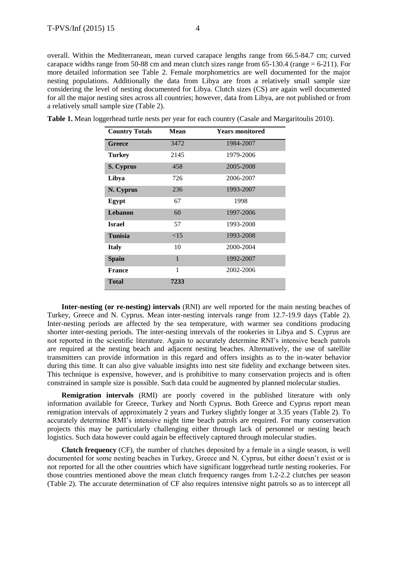overall. Within the Mediterranean, mean curved carapace lengths range from 66.5-84.7 cm; curved carapace widths range from 50-88 cm and mean clutch sizes range from  $65-130.4$  (range  $= 6-211$ ). For more detailed information see Table 2. Female morphometrics are well documented for the major nesting populations. Additionally the data from Libya are from a relatively small sample size considering the level of nesting documented for Libya. Clutch sizes (CS) are again well documented for all the major nesting sites across all countries; however, data from Libya, are not published or from a relatively small sample size (Table 2).

| <b>Country Totals</b> | Mean         | <b>Years monitored</b> |
|-----------------------|--------------|------------------------|
| <b>Greece</b>         | 3472         | 1984-2007              |
| <b>Turkey</b>         | 2145         | 1979-2006              |
| S. Cyprus             | 458          | 2005-2008              |
| Libya                 | 726          | 2006-2007              |
| N. Cyprus             | 236          | 1993-2007              |
| Egypt                 | 67           | 1998                   |
| Lebanon               | 60           | 1997-2006              |
| <b>Israel</b>         | 57           | 1993-2008              |
| <b>Tunisia</b>        | <15          | 1993-2008              |
| <b>Italy</b>          | 10           | 2000-2004              |
| <b>Spain</b>          | $\mathbf{1}$ | 1992-2007              |
| <b>France</b>         | 1            | 2002-2006              |
| <b>Total</b>          | 7233         |                        |

**Table 1.** Mean loggerhead turtle nests per year for each country (Casale and Margaritoulis 2010).

**Inter-nesting (or re-nesting) intervals** (RNI) are well reported for the main nesting beaches of Turkey, Greece and N. Cyprus. Mean inter-nesting intervals range from 12.7-19.9 days (Table 2). Inter-nesting periods are affected by the sea temperature, with warmer sea conditions producing shorter inter-nesting periods. The inter-nesting intervals of the rookeries in Libya and S. Cyprus are not reported in the scientific literature. Again to accurately determine RNI's intensive beach patrols are required at the nesting beach and adjacent nesting beaches. Alternatively, the use of satellite transmitters can provide information in this regard and offers insights as to the in-water behavior during this time. It can also give valuable insights into nest site fidelity and exchange between sites. This technique is expensive, however, and is prohibitive to many conservation projects and is often constrained in sample size is possible. Such data could be augmented by planned molecular studies.

**Remigration intervals** (RMI) are poorly covered in the published literature with only information available for Greece, Turkey and North Cyprus. Both Greece and Cyprus report mean remigration intervals of approximately 2 years and Turkey slightly longer at 3.35 years (Table 2). To accurately determine RMI's intensive night time beach patrols are required. For many conservation projects this may be particularly challenging either through lack of personnel or nesting beach logistics. Such data however could again be effectively captured through molecular studies.

**Clutch frequency** (CF), the number of clutches deposited by a female in a single season, is well documented for some nesting beaches in Turkey, Greece and N. Cyprus, but either doesn't exist or is not reported for all the other countries which have significant loggerhead turtle nesting rookeries. For those countries mentioned above the mean clutch frequency ranges from 1.2-2.2 clutches per season (Table 2). The accurate determination of CF also requires intensive night patrols so as to intercept all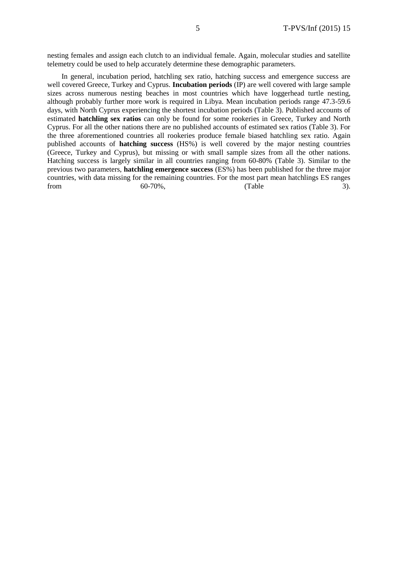nesting females and assign each clutch to an individual female. Again, molecular studies and satellite telemetry could be used to help accurately determine these demographic parameters.

In general, incubation period, hatchling sex ratio, hatching success and emergence success are well covered Greece, Turkey and Cyprus. **Incubation periods** (IP) are well covered with large sample sizes across numerous nesting beaches in most countries which have loggerhead turtle nesting, although probably further more work is required in Libya. Mean incubation periods range 47.3-59.6 days, with North Cyprus experiencing the shortest incubation periods (Table 3). Published accounts of estimated **hatchling sex ratios** can only be found for some rookeries in Greece, Turkey and North Cyprus. For all the other nations there are no published accounts of estimated sex ratios (Table 3). For the three aforementioned countries all rookeries produce female biased hatchling sex ratio. Again published accounts of **hatching success** (HS%) is well covered by the major nesting countries (Greece, Turkey and Cyprus), but missing or with small sample sizes from all the other nations. Hatching success is largely similar in all countries ranging from 60-80% (Table 3). Similar to the previous two parameters, **hatchling emergence success** (ES%) has been published for the three major countries, with data missing for the remaining countries. For the most part mean hatchlings ES ranges from  $60-70\%,$  (Table  $3)$ .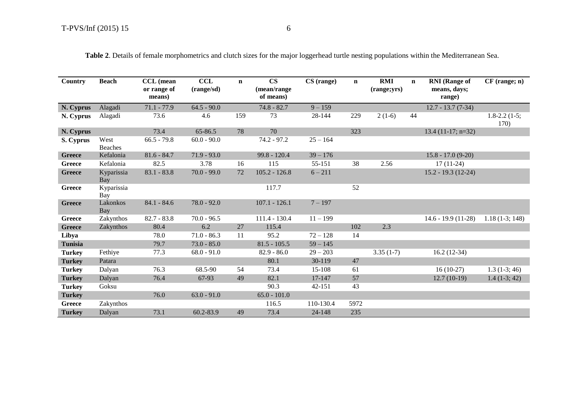| Country        | <b>Beach</b>           | <b>CCL</b> (mean<br>or range of<br>means) | CCL<br>(range/sd) | $\mathbf n$ | $\mathbf{CS}$<br>(mean/range<br>of means) | CS (range) | $\mathbf n$ | <b>RMI</b><br>(range;yrs) | $\mathbf{n}$ | <b>RNI</b> (Range of<br>means, days;<br>range) | $CF$ (range; $n)$               |
|----------------|------------------------|-------------------------------------------|-------------------|-------------|-------------------------------------------|------------|-------------|---------------------------|--------------|------------------------------------------------|---------------------------------|
| N. Cyprus      | Alagadi                | $71.1 - 77.9$                             | $64.5 - 90.0$     |             | $74.8 - 82.7$                             | $9 - 159$  |             |                           |              | $12.7 - 13.7(7-34)$                            |                                 |
| N. Cyprus      | Alagadi                | 73.6                                      | 4.6               | 159         | 73                                        | 28-144     | 229         | $2(1-6)$                  | 44           |                                                | $1.8 - 2.2$ $(1 - 5)$ ;<br>170) |
| N. Cyprus      |                        | 73.4                                      | 65-86.5           | 78          | 70                                        |            | 323         |                           |              | $13.4(11-17; n=32)$                            |                                 |
| S. Cyprus      | West<br><b>Beaches</b> | $66.5 - 79.8$                             | $60.0 - 90.0$     |             | 74.2 - 97.2                               | $25 - 164$ |             |                           |              |                                                |                                 |
| <b>Greece</b>  | Kefalonia              | $81.6 - 84.7$                             | $71.9 - 93.0$     |             | $99.8 - 120.4$                            | $39 - 176$ |             |                           |              | $15.8 - 17.0(9-20)$                            |                                 |
| Greece         | Kefalonia              | 82.5                                      | 3.78              | 16          | 115                                       | 55-151     | 38          | 2.56                      |              | $17(11-24)$                                    |                                 |
| <b>Greece</b>  | Kyparissia<br>Bay      | $83.1 - 83.8$                             | $70.0 - 99.0$     | 72          | $105.2 - 126.8$                           | $6 - 211$  |             |                           |              | $15.2 - 19.3(12-24)$                           |                                 |
| <b>Greece</b>  | Kyparissia<br>Bay      |                                           |                   |             | 117.7                                     |            | 52          |                           |              |                                                |                                 |
| <b>Greece</b>  | Lakonkos<br>Bay        | $84.1 - 84.6$                             | $78.0 - 92.0$     |             | $107.1 - 126.1$                           | $7 - 197$  |             |                           |              |                                                |                                 |
| Greece         | Zakynthos              | $82.7 - 83.8$                             | $70.0 - 96.5$     |             | 111.4 - 130.4                             | $11 - 199$ |             |                           |              | $14.6 - 19.9(11-28)$                           | $1.18(1-3; 148)$                |
| <b>Greece</b>  | Zakynthos              | 80.4                                      | 6.2               | 27          | 115.4                                     |            | 102         | 2.3                       |              |                                                |                                 |
| Libya          |                        | 78.0                                      | $71.0 - 86.3$     | 11          | 95.2                                      | $72 - 128$ | 14          |                           |              |                                                |                                 |
| <b>Tunisia</b> |                        | 79.7                                      | $73.0 - 85.0$     |             | $81.5 - 105.5$                            | $59 - 145$ |             |                           |              |                                                |                                 |
| <b>Turkey</b>  | Fethiye                | 77.3                                      | $68.0 - 91.0$     |             | $82.9 - 86.0$                             | $29 - 203$ |             | $3.35(1-7)$               |              | $16.2(12-34)$                                  |                                 |
| <b>Turkey</b>  | Patara                 |                                           |                   |             | 80.1                                      | 30-119     | 47          |                           |              |                                                |                                 |
| <b>Turkey</b>  | Dalyan                 | 76.3                                      | 68.5-90           | 54          | 73.4                                      | 15-108     | 61          |                           |              | $16(10-27)$                                    | $1.3(1-3; 46)$                  |
| <b>Turkey</b>  | Dalyan                 | 76.4                                      | 67-93             | 49          | 82.1                                      | 17-147     | 57          |                           |              | $12.7(10-19)$                                  | $1.4(1-3; 42)$                  |
| <b>Turkey</b>  | Goksu                  |                                           |                   |             | 90.3                                      | 42-151     | 43          |                           |              |                                                |                                 |
| <b>Turkey</b>  |                        | 76.0                                      | $63.0 - 91.0$     |             | $65.0 - 101.0$                            |            |             |                           |              |                                                |                                 |
| Greece         | Zakynthos              |                                           |                   |             | 116.5                                     | 110-130.4  | 5972        |                           |              |                                                |                                 |
| <b>Turkey</b>  | Dalyan                 | 73.1                                      | 60.2-83.9         | 49          | 73.4                                      | 24-148     | 235         |                           |              |                                                |                                 |

**Table 2**. Details of female morphometrics and clutch sizes for the major loggerhead turtle nesting populations within the Mediterranean Sea.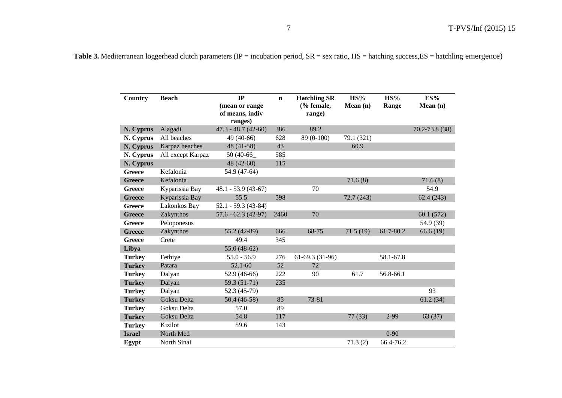| <b>Country</b> | <b>Beach</b>      | IP                                           | $\mathbf n$ | <b>Hatchling SR</b>  | HS%        | HS%       | ES%               |
|----------------|-------------------|----------------------------------------------|-------------|----------------------|------------|-----------|-------------------|
|                |                   | (mean or range<br>of means, indiv<br>ranges) |             | (% female,<br>range) | Mean(n)    | Range     | Mean(n)           |
| N. Cyprus      | Alagadi           | $47.3 - 48.7(42-60)$                         | 386         | 89.2                 |            |           | $70.2 - 73.8(38)$ |
| N. Cyprus      | All beaches       | 49 (40-66)                                   | 628         | 89 (0-100)           | 79.1 (321) |           |                   |
| N. Cyprus      | Karpaz beaches    | 48 (41-58)                                   | 43          |                      | 60.9       |           |                   |
| N. Cyprus      | All except Karpaz | 50 (40-66_                                   | 585         |                      |            |           |                   |
| N. Cyprus      |                   | $48(42-60)$                                  | 115         |                      |            |           |                   |
| <b>Greece</b>  | Kefalonia         | 54.9 (47-64)                                 |             |                      |            |           |                   |
| <b>Greece</b>  | Kefalonia         |                                              |             |                      | 71.6(8)    |           | 71.6(8)           |
| <b>Greece</b>  | Kyparissia Bay    | $48.1 - 53.9$ (43-67)                        |             | 70                   |            |           | 54.9              |
| <b>Greece</b>  | Kyparissia Bay    | 55.5                                         | 598         |                      | 72.7(243)  |           | 62.4(243)         |
| Greece         | Lakonkos Bay      | $52.1 - 59.3(43 - 84)$                       |             |                      |            |           |                   |
| <b>Greece</b>  | Zakynthos         | $57.6 - 62.3$ (42-97)                        | 2460        | 70                   |            |           | 60.1(572)         |
| <b>Greece</b>  | Peloponesus       |                                              |             |                      |            |           | 54.9 (39)         |
| <b>Greece</b>  | Zakynthos         | 55.2 (42-89)                                 | 666         | 68-75                | 71.5(19)   | 61.7-80.2 | 66.6(19)          |
| Greece         | Crete             | 49.4                                         | 345         |                      |            |           |                   |
| Libya          |                   | $55.0(48-62)$                                |             |                      |            |           |                   |
| <b>Turkey</b>  | Fethiye           | $55.0 - 56.9$                                | 276         | 61-69.3 (31-96)      |            | 58.1-67.8 |                   |
| <b>Turkey</b>  | Patara            | $52.1 - 60$                                  | 52          | 72                   |            |           |                   |
| <b>Turkey</b>  | Dalyan            | 52.9 (46-66)                                 | 222         | 90                   | 61.7       | 56.8-66.1 |                   |
| <b>Turkey</b>  | Dalyan            | 59.3 (51-71)                                 | 235         |                      |            |           |                   |
| <b>Turkey</b>  | Dalyan            | 52.3 (45-79)                                 |             |                      |            |           | 93                |
| <b>Turkey</b>  | Goksu Delta       | $50.4(46-58)$                                | 85          | 73-81                |            |           | 61.2(34)          |
| <b>Turkey</b>  | Goksu Delta       | 57.0                                         | 89          |                      |            |           |                   |
| <b>Turkey</b>  | Goksu Delta       | 54.8                                         | 117         |                      | 77(33)     | $2 - 99$  | 63(37)            |
| <b>Turkey</b>  | Kizilot           | 59.6                                         | 143         |                      |            |           |                   |
| <b>Israel</b>  | North Med         |                                              |             |                      |            | $0 - 90$  |                   |
| Egypt          | North Sinai       |                                              |             |                      | 71.3(2)    | 66.4-76.2 |                   |

Table 3. Mediterranean loggerhead clutch parameters (IP = incubation period, SR = sex ratio, HS = hatching success, ES = hatchling emergence)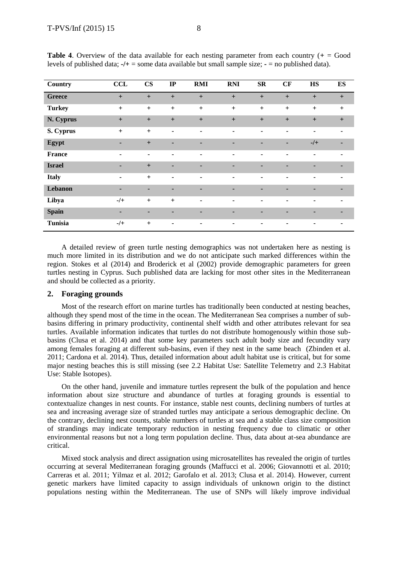| Country        | <b>CCL</b>     | $\mathbf{CS}$  | IP                       | <b>RMI</b>     | <b>RNI</b>     | $S_{R}$        | CF             | <b>HS</b>      | <b>ES</b>      |
|----------------|----------------|----------------|--------------------------|----------------|----------------|----------------|----------------|----------------|----------------|
| <b>Greece</b>  | $+$            | $+$            | $+$                      | $+$            | $+$            | $+$            | $+$            | $+$            | $+$            |
| <b>Turkey</b>  | $+$            | $+$            | $+$                      | $+$            | $+$            | $+$            | $+$            | $+$            | $+$            |
| N. Cyprus      | $+$            | $+$            | $+$                      | $+$            | $+$            | $+$            | $+$            | $+$            | $+$            |
| S. Cyprus      | $+$            | $+$            | $\blacksquare$           | $\blacksquare$ | $\blacksquare$ | ۰              | $\blacksquare$ | ٠              | ٠              |
| Egypt          | ٠              | $+$            | ۰                        | ٠              | ٠              | ٠              | ٠              | $-/+$          |                |
| France         | $\blacksquare$ | $\blacksquare$ | $\blacksquare$           | $\blacksquare$ | ۰              | ۰              | ٠              | $\blacksquare$ |                |
| <b>Israel</b>  | ٠              | $+$            | ۰                        | -              | $\blacksquare$ | $\blacksquare$ | -              | ۰              |                |
| <b>Italy</b>   | $\blacksquare$ | $+$            | $\overline{\phantom{0}}$ | $\blacksquare$ | $\blacksquare$ | ۰              | ٠              | ۰              | ٠              |
| Lebanon        | ۰              | ٠              | ٠                        | ٠              | ٠              | ٠              | ۰              | ٠              | $\blacksquare$ |
| Libya          | $-$ /+         | $+$            | $+$                      | $\blacksquare$ | $\blacksquare$ | $\blacksquare$ | $\blacksquare$ | ٠              | ٠              |
| <b>Spain</b>   | ٠              | ٠              | ٠                        | ٠              | $\blacksquare$ | ٠              | ۰              |                |                |
| <b>Tunisia</b> | $-$ /+         | $+$            | ۰                        | ۰              | ۰              | ۰              | ٠              | ۰              | $\blacksquare$ |

**Table 4.** Overview of the data available for each nesting parameter from each country  $(+) =$  Good levels of published data; **-/+** = some data available but small sample size; **-** = no published data).

A detailed review of green turtle nesting demographics was not undertaken here as nesting is much more limited in its distribution and we do not anticipate such marked differences within the region. Stokes et al (2014) and Broderick et al (2002) provide demographic parameters for green turtles nesting in Cyprus. Such published data are lacking for most other sites in the Mediterranean and should be collected as a priority.

## **2. Foraging grounds**

Most of the research effort on marine turtles has traditionally been conducted at nesting beaches, although they spend most of the time in the ocean. The Mediterranean Sea comprises a number of subbasins differing in primary productivity, continental shelf width and other attributes relevant for sea turtles. Available information indicates that turtles do not distribute homogenously within those subbasins (Clusa et al. 2014) and that some key parameters such adult body size and fecundity vary among females foraging at different sub-basins, even if they nest in the same beach (Zbinden et al. 2011; Cardona et al. 2014). Thus, detailed information about adult habitat use is critical, but for some major nesting beaches this is still missing (see 2.2 Habitat Use: Satellite Telemetry and 2.3 Habitat Use: Stable Isotopes).

On the other hand, juvenile and immature turtles represent the bulk of the population and hence information about size structure and abundance of turtles at foraging grounds is essential to contextualize changes in nest counts. For instance, stable nest counts, declining numbers of turtles at sea and increasing average size of stranded turtles may anticipate a serious demographic decline. On the contrary, declining nest counts, stable numbers of turtles at sea and a stable class size composition of strandings may indicate temporary reduction in nesting frequency due to climatic or other environmental reasons but not a long term population decline. Thus, data about at-sea abundance are critical.

Mixed stock analysis and direct assignation using microsatellites has revealed the origin of turtles occurring at several Mediterranean foraging grounds (Maffucci et al. 2006; Giovannotti et al. 2010; Carreras et al. 2011; Yilmaz et al. 2012; Garofalo et al. 2013; Clusa et al. 2014). However, current genetic markers have limited capacity to assign individuals of unknown origin to the distinct populations nesting within the Mediterranean. The use of SNPs will likely improve individual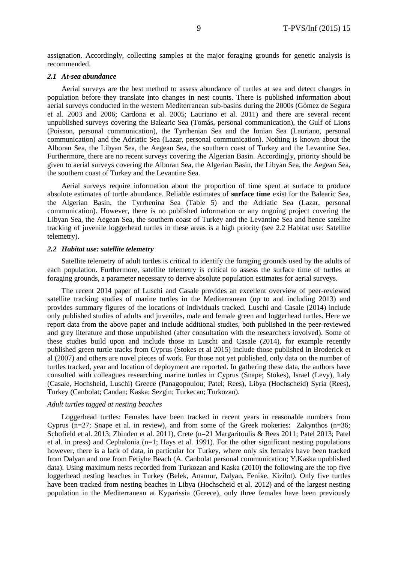assignation. Accordingly, collecting samples at the major foraging grounds for genetic analysis is recommended.

#### *2.1 At-sea abundance*

Aerial surveys are the best method to assess abundance of turtles at sea and detect changes in population before they translate into changes in nest counts. There is published information about aerial surveys conducted in the western Mediterranean sub-basins during the 2000s (Gómez de Segura et al. 2003 and 2006; Cardona et al. 2005; Lauriano et al. 2011) and there are several recent unpublished surveys covering the Balearic Sea (Tomás, personal communication), the Gulf of Lions (Poisson, personal communication), the Tyrrhenian Sea and the Ionian Sea (Lauriano, personal communication) and the Adriatic Sea (Lazar, personal communication). Nothing is known about the Alboran Sea, the Libyan Sea, the Aegean Sea, the southern coast of Turkey and the Levantine Sea. Furthermore, there are no recent surveys covering the Algerian Basin. Accordingly, priority should be given to aerial surveys covering the Alboran Sea, the Algerian Basin, the Libyan Sea, the Aegean Sea, the southern coast of Turkey and the Levantine Sea.

Aerial surveys require information about the proportion of time spent at surface to produce absolute estimates of turtle abundance. Reliable estimates of **surface time** exist for the Balearic Sea, the Algerian Basin, the Tyrrhenina Sea (Table 5) and the Adriatic Sea (Lazar, personal communication). However, there is no published information or any ongoing project covering the Libyan Sea, the Aegean Sea, the southern coast of Turkey and the Levantine Sea and hence satellite tracking of juvenile loggerhead turtles in these areas is a high priority (see 2.2 Habitat use: Satellite telemetry).

#### *2.2 Habitat use: satellite telemetry*

Satellite telemetry of adult turtles is critical to identify the foraging grounds used by the adults of each population. Furthermore, satellite telemetry is critical to assess the surface time of turtles at foraging grounds, a parameter necessary to derive absolute population estimates for aerial surveys.

The recent 2014 paper of Luschi and Casale provides an excellent overview of peer-reviewed satellite tracking studies of marine turtles in the Mediterranean (up to and including 2013) and provides summary figures of the locations of individuals tracked. Luschi and Casale (2014) include only published studies of adults and juveniles, male and female green and loggerhead turtles. Here we report data from the above paper and include additional studies, both published in the peer-reviewed and grey literature and those unpublished (after consultation with the researchers involved). Some of these studies build upon and include those in Luschi and Casale (2014), for example recently published green turtle tracks from Cyprus (Stokes et al 2015) include those published in Broderick et al (2007) and others are novel pieces of work. For those not yet published, only data on the number of turtles tracked, year and location of deployment are reported. In gathering these data, the authors have consulted with colleagues researching marine turtles in Cyprus (Snape; Stokes), Israel (Levy), Italy (Casale, Hochsheid, Luschi) Greece (Panagopoulou; Patel; Rees), Libya (Hochscheid) Syria (Rees), Turkey (Canbolat; Candan; Kaska; Sezgin; Turkecan; Turkozan).

#### *Adult turtles tagged at nesting beaches*

Loggerhead turtles: Females have been tracked in recent years in reasonable numbers from Cyprus (n=27; Snape et al. in review), and from some of the Greek rookeries: Zakynthos (n=36; Schofield et al. 2013; Zbinden et al. 2011), Crete (n=21 Margaritoulis & Rees 2011; Patel 2013; Patel et al. in press) and Cephalonia (n=1; Hays et al. 1991). For the other significant nesting populations however, there is a lack of data, in particular for Turkey, where only six females have been tracked from Dalyan and one from Fetiyhe Beach (A. Canbolat personal communication; Y.Kaska upublished data). Using maximum nests recorded from Turkozan and Kaska (2010) the following are the top five loggerhead nesting beaches in Turkey (Belek, Anamur, Dalyan, Fenike, Kizilot). Only five turtles have been tracked from nesting beaches in Libya (Hochscheid et al. 2012) and of the largest nesting population in the Mediterranean at Kyparissia (Greece), only three females have been previously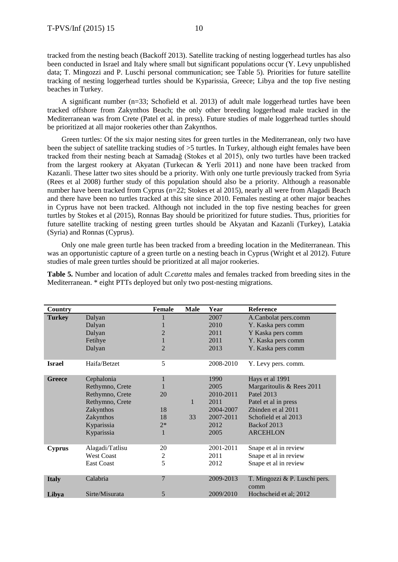tracked from the nesting beach (Backoff 2013). Satellite tracking of nesting loggerhead turtles has also been conducted in Israel and Italy where small but significant populations occur (Y. Levy unpublished data; T. Mingozzi and P. Luschi personal communication; see Table 5). Priorities for future satellite tracking of nesting loggerhead turtles should be Kyparissia, Greece; Libya and the top five nesting beaches in Turkey.

A significant number (n=33; Schofield et al. 2013) of adult male loggerhead turtles have been tracked offshore from Zakynthos Beach; the only other breeding loggerhead male tracked in the Mediterranean was from Crete (Patel et al. in press). Future studies of male loggerhead turtles should be prioritized at all major rookeries other than Zakynthos.

Green turtles: Of the six major nesting sites for green turtles in the Mediterranean, only two have been the subject of satellite tracking studies of >5 turtles. In Turkey, although eight females have been tracked from their nesting beach at Samadağ (Stokes et al 2015), only two turtles have been tracked from the largest rookery at Akyatan (Turkecan & Yerli 2011) and none have been tracked from Kazanli. These latter two sites should be a priority. With only one turtle previously tracked from Syria (Rees et al 2008) further study of this population should also be a priority. Although a reasonable number have been tracked from Cyprus (n=22; Stokes et al 2015), nearly all were from Alagadi Beach and there have been no turtles tracked at this site since 2010. Females nesting at other major beaches in Cyprus have not been tracked. Although not included in the top five nesting beaches for green turtles by Stokes et al (2015), Ronnas Bay should be prioritized for future studies. Thus, priorities for future satellite tracking of nesting green turtles should be Akyatan and Kazanli (Turkey), Latakia (Syria) and Ronnas (Cyprus).

Only one male green turtle has been tracked from a breeding location in the Mediterranean. This was an opportunistic capture of a green turtle on a nesting beach in Cyprus (Wright et al 2012). Future studies of male green turtles should be prioritized at all major rookeries.

| Country       |                   | <b>Female</b>  | <b>Male</b> | Year      | <b>Reference</b>              |
|---------------|-------------------|----------------|-------------|-----------|-------------------------------|
| <b>Turkey</b> | Dalyan            |                |             | 2007      | A.Canbolat pers.comm          |
|               | Dalyan            |                |             | 2010      | Y. Kaska pers comm            |
|               | Dalyan            | 2              |             | 2011      | Y Kaska pers comm             |
|               | Fetihye           | 1              |             | 2011      | Y. Kaska pers comm            |
|               | Dalyan            | $\overline{2}$ |             | 2013      | Y. Kaska pers comm            |
|               |                   |                |             |           |                               |
| <b>Israel</b> | Haifa/Betzet      | 5              |             | 2008-2010 | Y. Levy pers. comm.           |
| <b>Greece</b> | Cephalonia        | 1              |             | 1990      | Hays et al 1991               |
|               | Rethymno, Crete   |                |             | 2005      | Margaritoulis & Rees 2011     |
|               | Rethymno, Crete   | 20             |             | 2010-2011 | Patel 2013                    |
|               | Rethymno, Crete   |                | 1           | 2011      | Patel et al in press          |
|               | Zakynthos         | 18             |             | 2004-2007 | Zbinden et al 2011            |
|               | Zakynthos         | 18             | 33          | 2007-2011 | Schofield et al 2013          |
|               | Kyparissia        | $2*$           |             | 2012      | Backof 2013                   |
|               | Kyparissia        | 1              |             | 2005      | <b>ARCEHLON</b>               |
|               |                   |                |             |           |                               |
| <b>Cyprus</b> | Alagadi/Tatlisu   | 20             |             | 2001-2011 | Snape et al in review         |
|               | <b>West Coast</b> | 2              |             | 2011      | Snape et al in review         |
|               | <b>East Coast</b> | 5              |             | 2012      | Snape et al in review         |
| <b>Italy</b>  | Calabria          | $\overline{7}$ |             | 2009-2013 | T. Mingozzi & P. Luschi pers. |
|               |                   |                |             |           | comm                          |
| Libya         | Sirte/Misurata    | 5              |             | 2009/2010 | Hochscheid et al; 2012        |

**Table 5.** Number and location of adult *C.caretta* males and females tracked from breeding sites in the Mediterranean. \* eight PTTs deployed but only two post-nesting migrations.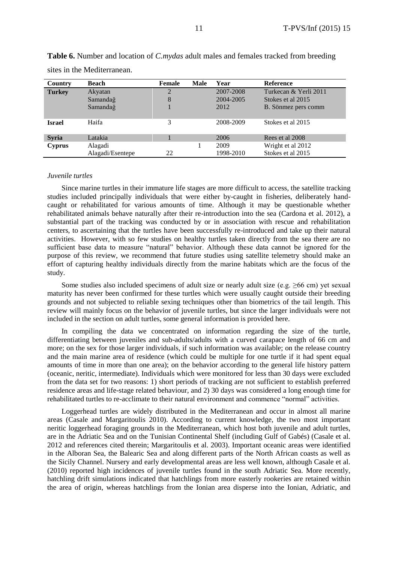| Country       | Beach            | <b>Female</b> | <b>Male</b> | Year      | <b>Reference</b>      |
|---------------|------------------|---------------|-------------|-----------|-----------------------|
| <b>Turkey</b> | Akyatan          | 2             |             | 2007-2008 | Turkecan & Yerli 2011 |
|               | Samandağ         | 8             |             | 2004-2005 | Stokes et al 2015     |
|               | Samandağ         |               |             | 2012      | B. Sönmez pers comm   |
| <b>Israel</b> | Haifa            | 3             |             | 2008-2009 | Stokes et al 2015     |
| <b>Syria</b>  | Latakia          |               |             | 2006      | Rees et al 2008       |
| <b>Cyprus</b> | Alagadi          |               |             | 2009      | Wright et al 2012     |
|               | Alagadi/Esentepe | 22            |             | 1998-2010 | Stokes et al 2015     |

**Table 6.** Number and location of *C.mydas* adult males and females tracked from breeding sites in the Mediterranean.

#### *Juvenile turtles*

Since marine turtles in their immature life stages are more difficult to access, the satellite tracking studies included principally individuals that were either by-caught in fisheries, deliberately handcaught or rehabilitated for various amounts of time. Although it may be questionable whether rehabilitated animals behave naturally after their re-introduction into the sea (Cardona et al. 2012), a substantial part of the tracking was conducted by or in association with rescue and rehabilitation centers, to ascertaining that the turtles have been successfully re-introduced and take up their natural activities. However, with so few studies on healthy turtles taken directly from the sea there are no sufficient base data to measure "natural" behavior. Although these data cannot be ignored for the purpose of this review, we recommend that future studies using satellite telemetry should make an effort of capturing healthy individuals directly from the marine habitats which are the focus of the study.

Some studies also included specimens of adult size or nearly adult size (e.g.  $\geq 66$  cm) yet sexual maturity has never been confirmed for these turtles which were usually caught outside their breeding grounds and not subjected to reliable sexing techniques other than biometrics of the tail length. This review will mainly focus on the behavior of juvenile turtles, but since the larger individuals were not included in the section on adult turtles, some general information is provided here.

In compiling the data we concentrated on information regarding the size of the turtle, differentiating between juveniles and sub-adults/adults with a curved carapace length of 66 cm and more; on the sex for those larger individuals, if such information was available; on the release country and the main marine area of residence (which could be multiple for one turtle if it had spent equal amounts of time in more than one area); on the behavior according to the general life history pattern (oceanic, neritic, intermediate). Individuals which were monitored for less than 30 days were excluded from the data set for two reasons: 1) short periods of tracking are not sufficient to establish preferred residence areas and life-stage related behaviour, and 2) 30 days was considered a long enough time for rehabilitated turtles to re-acclimate to their natural environment and commence "normal" activities.

Loggerhead turtles are widely distributed in the Mediterranean and occur in almost all marine areas (Casale and Margaritoulis 2010). According to current knowledge, the two most important neritic loggerhead foraging grounds in the Mediterranean, which host both juvenile and adult turtles, are in the Adriatic Sea and on the Tunisian Continental Shelf (including Gulf of Gabés) (Casale et al. 2012 and references cited therein; Margaritoulis et al. 2003). Important oceanic areas were identified in the Alboran Sea, the Balearic Sea and along different parts of the North African coasts as well as the Sicily Channel. Nursery and early developmental areas are less well known, although Casale et al. (2010) reported high incidences of juvenile turtles found in the south Adriatic Sea. More recently, hatchling drift simulations indicated that hatchlings from more easterly rookeries are retained within the area of origin, whereas hatchlings from the Ionian area disperse into the Ionian, Adriatic, and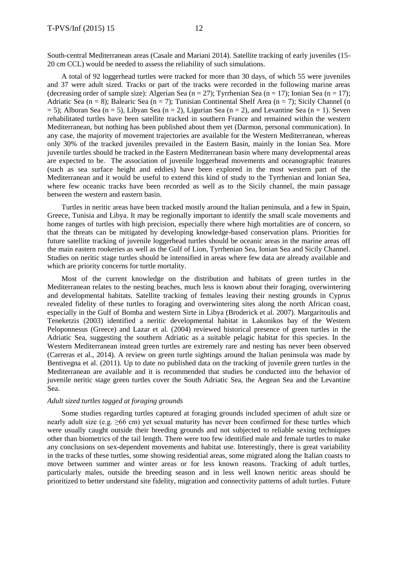South-central Mediterranean areas (Casale and Mariani 2014). Satellite tracking of early juveniles (15- 20 cm CCL) would be needed to assess the reliability of such simulations.

A total of 92 loggerhead turtles were tracked for more than 30 days, of which 55 were juveniles and 37 were adult sized. Tracks or part of the tracks were recorded in the following marine areas (decreasing order of sample size): Algerian Sea (n = 27); Tyrrhenian Sea (n = 17); Ionian Sea (n = 17); Adriatic Sea (n = 8); Balearic Sea (n = 7); Tunisian Continental Shelf Area (n = 7); Sicily Channel (n  $= 5$ ; Alboran Sea (n = 5), Libyan Sea (n = 2), Ligurian Sea (n = 2), and Levantine Sea (n = 1). Seven rehabilitated turtles have been satellite tracked in southern France and remained within the western Mediterranean, but nothing has been published about them yet (Darmon, personal communication). In any case, the majority of movement trajectories are available for the Western Mediterranean, whereas only 30% of the tracked juveniles prevailed in the Eastern Basin, mainly in the Ionian Sea. More juvenile turtles should be tracked in the Eastern Mediterranean basin where many developmental areas are expected to be. The association of juvenile loggerhead movements and oceanographic features (such as sea surface height and eddies) have been explored in the most western part of the Mediterranean and it would be useful to extend this kind of study to the Tyrrhenian and Ionian Sea, where few oceanic tracks have been recorded as well as to the Sicily channel, the main passage between the western and eastern basin.

Turtles in neritic areas have been tracked mostly around the Italian peninsula, and a few in Spain, Greece, Tunisia and Libya. It may be regionally important to identify the small scale movements and home ranges of turtles with high precision, especially there where high mortalities are of concern, so that the threats can be mitigated by developing knowledge-based conservation plans. Priorities for future satellite tracking of juvenile loggerhead turtles should be oceanic areas in the marine areas off the main eastern rookeries as well as the Gulf of Lion, Tyrrhenian Sea, Ionian Sea and Sicily Channel. Studies on neritic stage turtles should be intensified in areas where few data are already available and which are priority concerns for turtle mortality.

Most of the current knowledge on the distribution and habitats of green turtles in the Mediterranean relates to the nesting beaches, much less is known about their foraging, overwintering and developmental habitats. Satellite tracking of females leaving their nesting grounds in Cyprus revealed fidelity of these turtles to foraging and overwintering sites along the north African coast, especially in the Gulf of Bomba and western Sirte in Libya (Broderick et al. 2007). Margaritoulis and Teneketzis (2003) identified a neritic developmental habitat in Lakonikos bay of the Western Peloponnesus (Greece) and Lazar et al. (2004) reviewed historical presence of green turtles in the Adriatic Sea, suggesting the southern Adriatic as a suitable pelagic habitat for this species. In the Western Mediterranean instead green turtles are extremely rare and nesting has never been observed (Carreras et al., 2014). A review on green turtle sightings around the Italian peninsula was made by Bentivegna et al. (2011). Up to date no published data on the tracking of juvenile green turtles in the Mediterranean are available and it is recommended that studies be conducted into the behavior of juvenile neritic stage green turtles cover the South Adriatic Sea, the Aegean Sea and the Levantine Sea.

# *Adult sized turtles tagged at foraging grounds*

Some studies regarding turtles captured at foraging grounds included specimen of adult size or nearly adult size (e.g. ≥66 cm) yet sexual maturity has never been confirmed for these turtles which were usually caught outside their breeding grounds and not subjected to reliable sexing techniques other than biometrics of the tail length. There were too few identified male and female turtles to make any conclusions on sex-dependent movements and habitat use. Interestingly, there is great variability in the tracks of these turtles, some showing residential areas, some migrated along the Italian coasts to move between summer and winter areas or for less known reasons. Tracking of adult turtles, particularly males, outside the breeding season and in less well known neritic areas should be prioritized to better understand site fidelity, migration and connectivity patterns of adult turtles. Future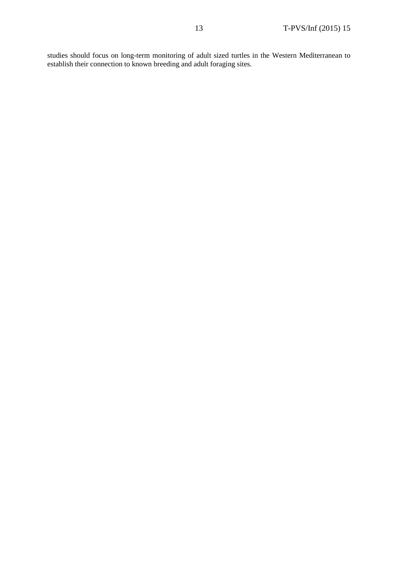studies should focus on long-term monitoring of adult sized turtles in the Western Mediterranean to establish their connection to known breeding and adult foraging sites.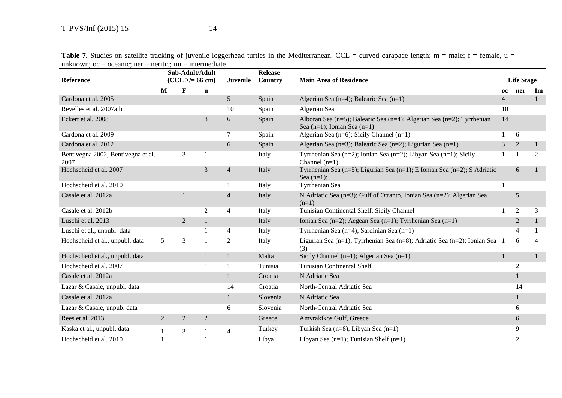|                                            |                   | Sub-Adult/Adult |                |                 | <b>Release</b>                |                                                                                                           |                |                   |              |
|--------------------------------------------|-------------------|-----------------|----------------|-----------------|-------------------------------|-----------------------------------------------------------------------------------------------------------|----------------|-------------------|--------------|
| Reference                                  | $(CCL > = 66 cm)$ |                 | Juvenile       | Country         | <b>Main Area of Residence</b> |                                                                                                           |                | <b>Life Stage</b> |              |
|                                            | M                 | $\mathbf{F}$    | $\mathbf u$    |                 |                               |                                                                                                           | 0C             | ner               | Im           |
| Cardona et al. 2005                        |                   |                 |                | $5\overline{)}$ | Spain                         | Algerian Sea (n=4); Balearic Sea (n=1)                                                                    | $\overline{4}$ |                   | 1            |
| Revelles et al. 2007a;b                    |                   |                 |                | 10              | Spain                         | Algerian Sea                                                                                              | 10             |                   |              |
| Eckert et al. 2008                         |                   |                 | 8              | 6               | Spain                         | Alboran Sea (n=5); Balearic Sea (n=4); Algerian Sea (n=2); Tyrrhenian<br>Sea $(n=1)$ ; Ionian Sea $(n=1)$ | 14             |                   |              |
| Cardona et al. 2009                        |                   |                 |                | 7               | Spain                         | Algerian Sea ( $n=6$ ); Sicily Channel ( $n=1$ )                                                          |                | 6                 |              |
| Cardona et al. 2012                        |                   |                 |                | 6               | Spain                         | Algerian Sea (n=3); Balearic Sea (n=2); Ligurian Sea (n=1)                                                | 3              | $\overline{2}$    |              |
| Bentivegna 2002; Bentivegna et al.<br>2007 |                   | 3               |                |                 | Italy                         | Tyrrhenian Sea (n=2); Ionian Sea (n=2); Libyan Sea (n=1); Sicily<br>Channel $(n=1)$                       |                |                   | 2            |
| Hochscheid et al. 2007                     |                   |                 | 3              | $\overline{4}$  | Italy                         | Tyrrhenian Sea (n=5); Ligurian Sea (n=1); E Ionian Sea (n=2); S Adriatic<br>Sea $(n=1)$ ;                 |                | 6                 |              |
| Hochscheid et al. 2010                     |                   |                 |                |                 | Italy                         | Tyrrhenian Sea                                                                                            |                |                   |              |
| Casale et al. 2012a                        |                   |                 |                | $\overline{4}$  | Italy                         | N Adriatic Sea (n=3); Gulf of Otranto, Ionian Sea (n=2); Algerian Sea<br>$(n=1)$                          |                | 5                 |              |
| Casale et al. 2012b                        |                   |                 | 2              | $\overline{4}$  | Italy                         | Tunisian Continental Shelf; Sicily Channel                                                                |                | $\overline{2}$    | 3            |
| Luschi et al. 2013                         |                   | $\overline{2}$  | $\mathbf{1}$   |                 | Italy                         | Ionian Sea (n=2); Aegean Sea (n=1); Tyrrhenian Sea (n=1)                                                  |                | $\overline{2}$    | $\mathbf{1}$ |
| Luschi et al., unpubl. data                |                   |                 |                | 4               | Italy                         | Tyrrhenian Sea (n=4); Sardinian Sea (n=1)                                                                 |                | 4                 |              |
| Hochscheid et al., unpubl. data            | 5                 | 3               |                | 2               | Italy                         | Ligurian Sea (n=1); Tyrrhenian Sea (n=8); Adriatic Sea (n=2); Ionian Sea 1<br>(3)                         |                | 6                 |              |
| Hochscheid et al., unpubl. data            |                   |                 | $\mathbf{1}$   |                 | Malta                         | Sicily Channel ( $n=1$ ); Algerian Sea ( $n=1$ )                                                          | 1              |                   | $\mathbf{1}$ |
| Hochscheid et al. 2007                     |                   |                 |                |                 | Tunisia                       | <b>Tunisian Continental Shelf</b>                                                                         |                | $\mathfrak{2}$    |              |
| Casale et al. 2012a                        |                   |                 |                |                 | Croatia                       | N Adriatic Sea                                                                                            |                | 1                 |              |
| Lazar & Casale, unpubl. data               |                   |                 |                | 14              | Croatia                       | North-Central Adriatic Sea                                                                                |                | 14                |              |
| Casale et al. 2012a                        |                   |                 |                |                 | Slovenia                      | N Adriatic Sea                                                                                            |                | $\mathbf{1}$      |              |
| Lazar & Casale, unpub. data                |                   |                 |                | 6               | Slovenia                      | North-Central Adriatic Sea                                                                                |                | 6                 |              |
| Rees et al. 2013                           | 2                 | $\overline{2}$  | $\overline{2}$ |                 | Greece                        | Amvrakikos Gulf, Greece                                                                                   |                | 6                 |              |
| Kaska et al., unpubl. data                 |                   | 3               |                | $\overline{4}$  | Turkey                        | Turkish Sea (n=8), Libyan Sea (n=1)                                                                       |                | 9                 |              |
| Hochscheid et al. 2010                     |                   |                 |                |                 | Libya                         | Libyan Sea $(n=1)$ ; Tunisian Shelf $(n=1)$                                                               |                | $\overline{2}$    |              |

Table 7. Studies on satellite tracking of juvenile loggerhead turtles in the Mediterranean. CCL = curved carapace length; m = male; f = female, u = unknown;  $oc = oceanic$ ; ner = neritic; im = intermediate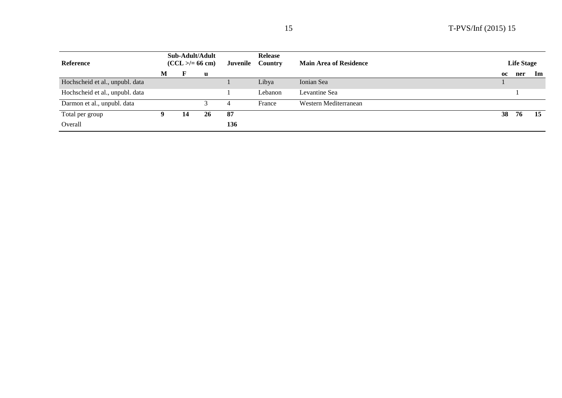| Reference                       | Sub-Adult/Adult<br>$(CCL > = 66 cm)$ |    |    | Juvenile | <b>Release</b><br><b>Country</b> | <b>Main Area of Residence</b> |    | <b>Life Stage</b> |     |  |
|---------------------------------|--------------------------------------|----|----|----------|----------------------------------|-------------------------------|----|-------------------|-----|--|
|                                 | M                                    |    | u  |          |                                  |                               | oc | ner               | Im  |  |
| Hochscheid et al., unpubl. data |                                      |    |    |          | Libya                            | Ionian Sea                    |    |                   |     |  |
| Hochscheid et al., unpubl. data |                                      |    |    |          | Lebanon                          | Levantine Sea                 |    |                   |     |  |
| Darmon et al., unpubl. data     |                                      |    |    | 4        | France                           | Western Mediterranean         |    |                   |     |  |
| Total per group                 |                                      | 14 | 26 | 87       |                                  |                               | 38 | 76                | -15 |  |
| Overall                         |                                      |    |    | 136      |                                  |                               |    |                   |     |  |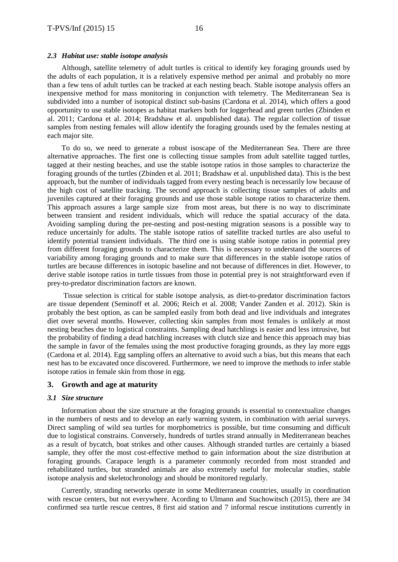#### *2.3 Habitat use: stable isotope analysis*

Although, satellite telemetry of adult turtles is critical to identify key foraging grounds used by the adults of each population, it is a relatively expensive method per animal and probably no more than a few tens of adult turtles can be tracked at each nesting beach. Stable isotope analysis offers an inexpensive method for mass monitoring in conjunction with telemetry. The Mediterranean Sea is subdivided into a number of isotopical distinct sub-basins (Cardona et al. 2014), which offers a good opportunity to use stable isotopes as habitat markers both for loggerhead and green turtles (Zbinden et al. 2011; Cardona et al. 2014; Bradshaw et al. unpublished data). The regular collection of tissue samples from nesting females will allow identify the foraging grounds used by the females nesting at each major site.

To do so, we need to generate a robust isoscape of the Mediterranean Sea. There are three alternative approaches. The first one is collecting tissue samples from adult satellite tagged turtles, tagged at their nesting beaches, and use the stable isotope ratios in those samples to characterize the foraging grounds of the turtles (Zbinden et al. 2011; Bradshaw et al. unpublished data). This is the best approach, but the number of individuals tagged from every nesting beach is necessarily low because of the high cost of satellite tracking. The second approach is collecting tissue samples of adults and juveniles captured at their foraging grounds and use those stable isotope ratios to characterize them. This approach assures a large sample size from most areas, but there is no way to discriminate between transient and resident individuals, which will reduce the spatial accuracy of the data. Avoiding sampling during the pre-nesting and post-nesting migration seasons is a possible way to reduce uncertainly for adults. The stable isotope ratios of satellite tracked turtles are also useful to identify potential transient individuals. The third one is using stable isotope ratios in potential prey from different foraging grounds to characterize them. This is necessary to understand the sources of variability among foraging grounds and to make sure that differences in the stable isotope ratios of turtles are because differences in isotopic baseline and not because of differences in diet. However, to derive stable isotope ratios in turtle tissues from those in potential prey is not straightforward even if prey-to-predator discrimination factors are known.

Tissue selection is critical for stable isotope analysis, as diet-to-predator discrimination factors are tissue dependent (Seminoff et al. 2006; Reich et al. 2008; Vander Zanden et al. 2012). Skin is probably the best option, as can be sampled easily from both dead and live individuals and integrates diet over several months. However, collecting skin samples from most females is unlikely at most nesting beaches due to logistical constraints. Sampling dead hatchlings is easier and less intrusive, but the probability of finding a dead hatchling increases with clutch size and hence this approach may bias the sample in favor of the females using the most productive foraging grounds, as they lay more eggs (Cardona et al. 2014). Egg sampling offers an alternative to avoid such a bias, but this means that each nest has to be excavated once discovered. Furthermore, we need to improve the methods to infer stable isotope ratios in female skin from those in egg.

# **3. Growth and age at maturity**

### *3.1 Size structure*

Information about the size structure at the foraging grounds is essential to contextualize changes in the numbers of nests and to develop an early warning system, in combination with aerial surveys. Direct sampling of wild sea turtles for morphometrics is possible, but time consuming and difficult due to logistical constrains. Conversely, hundreds of turtles strand annually in Mediterranean beaches as a result of bycatch, boat strikes and other causes. Although stranded turtles are certainly a biased sample, they offer the most cost-effective method to gain information about the size distribution at foraging grounds. Carapace length is a parameter commonly recorded from most stranded and rehabilitated turtles, but stranded animals are also extremely useful for molecular studies, stable isotope analysis and skeletochronology and should be monitored regularly.

Currently, stranding networks operate in some Mediterranean countries, usually in coordination with rescue centers, but not everywhere. Acording to Ulmann and Stachowitsch (2015), there are 34 confirmed sea turtle rescue centres, 8 first aid station and 7 informal rescue institutions currently in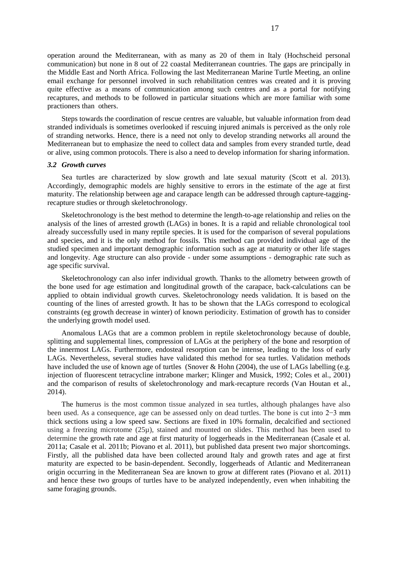operation around the Mediterranean, with as many as 20 of them in Italy (Hochscheid personal communication) but none in 8 out of 22 coastal Mediterranean countries. The gaps are principally in the Middle East and North Africa. Following the last Mediterranean Marine Turtle Meeting, an online email exchange for personnel involved in such rehabilitation centres was created and it is proving quite effective as a means of communication among such centres and as a portal for notifying recaptures, and methods to be followed in particular situations which are more familiar with some practioners than others.

Steps towards the coordination of rescue centres are valuable, but valuable information from dead stranded individuals is sometimes overlooked if rescuing injured animals is perceived as the only role of stranding networks. Hence, there is a need not only to develop stranding networks all around the Mediterranean but to emphasize the need to collect data and samples from every stranded turtle, dead or alive, using common protocols. There is also a need to develop information for sharing information.

# *3.2 Growth curves*

Sea turtles are characterized by slow growth and late sexual maturity (Scott et al. 2013). Accordingly, demographic models are highly sensitive to errors in the estimate of the age at first maturity. The relationship between age and carapace length can be addressed through capture-taggingrecapture studies or through skeletochronology.

Skeletochronology is the best method to determine the length-to-age relationship and relies on the analysis of the lines of arrested growth (LAGs) in bones. It is a rapid and reliable chronological tool already successfully used in many reptile species. It is used for the comparison of several populations and species, and it is the only method for fossils. This method can provided individual age of the studied specimen and important demographic information such as age at maturity or other life stages and longevity. Age structure can also provide - under some assumptions - demographic rate such as age specific survival.

Skeletochronology can also infer individual growth. Thanks to the allometry between growth of the bone used for age estimation and longitudinal growth of the carapace, back-calculations can be applied to obtain individual growth curves. Skeletochronology needs validation. It is based on the counting of the lines of arrested growth. It has to be shown that the LAGs correspond to ecological constraints (eg growth decrease in winter) of known periodicity. Estimation of growth has to consider the underlying growth model used.

Anomalous LAGs that are a common problem in reptile skeletochronology because of double, splitting and supplemental lines, compression of LAGs at the periphery of the bone and resorption of the innermost LAGs. Furthermore, endosteal resorption can be intense, leading to the loss of early LAGs. Nevertheless, several studies have validated this method for sea turtles. Validation methods have included the use of known age of turtles (Snover & Hohn (2004), the use of LAGs labelling (e.g. injection of fluorescent tetracycline intrabone marker; Klinger and Musick, 1992; Coles et al., 2001) and the comparison of results of skeletochronology and mark-recapture records (Van Houtan et al., 2014).

The humerus is the most common tissue analyzed in sea turtles, although phalanges have also been used. As a consequence, age can be assessed only on dead turtles. The bone is cut into 2−3 mm thick sections using a low speed saw. Sections are fixed in 10% formalin, decalcified and sectioned using a freezing microtome  $(25\mu)$ , stained and mounted on slides. This method has been used to determine the growth rate and age at first maturity of loggerheads in the Mediterranean (Casale et al. 2011a; Casale et al. 2011b; Piovano et al. 2011), but published data present two major shortcomings. Firstly, all the published data have been collected around Italy and growth rates and age at first maturity are expected to be basin-dependent. Secondly, loggerheads of Atlantic and Mediterranean origin occurring in the Mediterranean Sea are known to grow at different rates (Piovano et al. 2011) and hence these two groups of turtles have to be analyzed independently, even when inhabiting the same foraging grounds.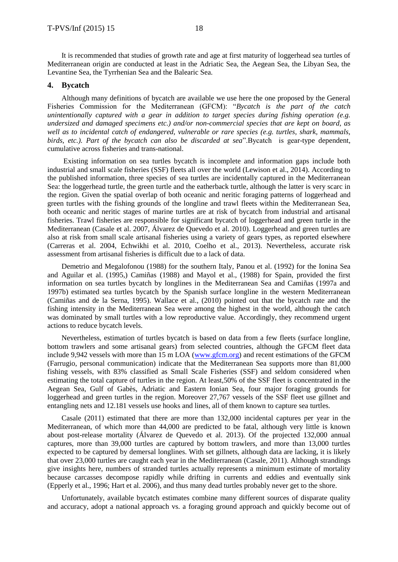It is recommended that studies of growth rate and age at first maturity of loggerhead sea turtles of Mediterranean origin are conducted at least in the Adriatic Sea, the Aegean Sea, the Libyan Sea, the Levantine Sea, the Tyrrhenian Sea and the Balearic Sea.

# **4. Bycatch**

Although many definitions of bycatch are available we use here the one proposed by the General Fisheries Commission for the Mediterranean (GFCM): "*Bycatch is the part of the catch unintentionally captured with a gear in addition to target species during fishing operation (e.g. undersized and damaged specimens etc.) and/or non-commercial species that are kept on board, as well as to incidental catch of endangered, vulnerable or rare species (e.g. turtles, shark, mammals, birds, etc.). Part of the bycatch can also be discarded at sea*".Bycatch is gear-type dependent, cumulative across fisheries and trans-national.

Existing information on sea turtles bycatch is incomplete and information gaps include both industrial and small scale fisheries (SSF) fleets all over the world (Lewison et al., 2014). According to the published information, three species of sea turtles are incidentally captured in the Mediterranean Sea: the loggerhead turtle, the green turtle and the eatherback turtle, although the latter is very scarc in the region. Given the spatial overlap of both oceanic and neritic foraging patterns of loggerhead and green turtles with the fishing grounds of the longline and trawl fleets within the Mediterranean Sea, both oceanic and neritic stages of marine turtles are at risk of bycatch from industrial and artisanal fisheries. Trawl fisheries are responsible for significant bycatch of loggerhead and green turtle in the Mediterranean (Casale et al. 2007, Álvarez de Quevedo et al. 2010). Loggerhead and green turtles are also at risk from small scale artisanal fisheries using a variety of gears types, as reported elsewhere (Carreras et al. 2004, Echwikhi et al. 2010, Coelho et al., 2013). Nevertheless, accurate risk assessment from artisanal fisheries is difficult due to a lack of data.

Demetrio and Megalofonou (1988) for the southern Italy, Panou et al. (1992) for the Ionina Sea and Aguilar et al. (1995,) Camiñas (1988) and Mayol et al., (1988) for Spain, provided the first information on sea turtles bycatch by longlines in the Mediterranean Sea and Camiñas (1997a and 1997b) estimated sea turtles bycatch by the Spanish surface longline in the western Mediterranean (Camiñas and de la Serna, 1995). Wallace et al., (2010) pointed out that the bycatch rate and the fishing intensity in the Mediterranean Sea were among the highest in the world, although the catch was dominated by small turtles with a low reproductive value. Accordingly, they recommend urgent actions to reduce bycatch levels.

Nevertheless, estimation of turtles bycatch is based on data from a few fleets (surface longline, bottom trawlers and some artisanal gears) from selected countries, although the GFCM fleet data include 9,942 vessels with more than 15 m LOA [\(www.gfcm.org\)](http://www.gfcm.org/) and recent estimations of the GFCM (Farrugio, personal communication) indicate that the Mediterranean Sea supports more than 81,000 fishing vessels, with 83% classified as Small Scale Fisheries (SSF) and seldom considered when estimating the total capture of turtles in the region. At least,50% of the SSF fleet is concentrated in the Aegean Sea, Gulf of Gabès, Adriatic and Eastern Ionian Sea, four major foraging grounds for loggerhead and green turtles in the region. Moreover 27,767 vessels of the SSF fleet use gillnet and entangling nets and 12.181 vessels use hooks and lines, all of them known to capture sea turtles.

Casale (2011) estimated that there are more than 132,000 incidental captures per year in the Mediterranean, of which more than 44,000 are predicted to be fatal, although very little is known about post-release mortality (Álvarez de Quevedo et al. 2013). Of the projected 132,000 annual captures, more than 39,000 turtles are captured by bottom trawlers, and more than 13,000 turtles expected to be captured by demersal longlines. With set gillnets, although data are lacking, it is likely that over 23,000 turtles are caught each year in the Mediterranean (Casale, 2011). Although strandings give insights here, numbers of stranded turtles actually represents a minimum estimate of mortality because carcasses decompose rapidly while drifting in currents and eddies and eventually sink (Epperly et al., 1996; Hart et al. 2006), and thus many dead turtles probably never get to the shore.

Unfortunately, available bycatch estimates combine many different sources of disparate quality and accuracy, adopt a national approach vs. a foraging ground approach and quickly become out of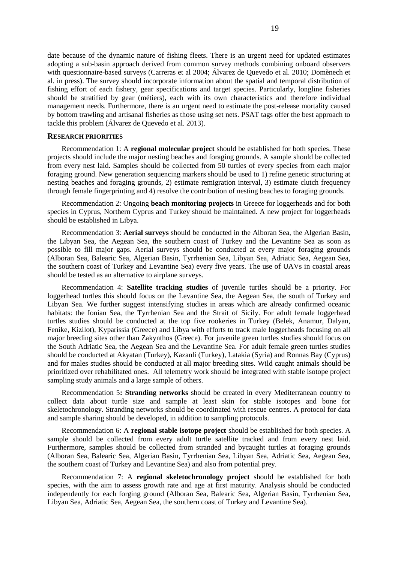date because of the dynamic nature of fishing fleets. There is an urgent need for updated estimates adopting a sub-basin approach derived from common survey methods combining onboard observers with questionnaire-based surveys (Carreras et al 2004; Álvarez de Quevedo et al. 2010; Domènech et al. in press). The survey should incorporate information about the spatial and temporal distribution of fishing effort of each fishery, gear specifications and target species. Particularly, longline fisheries should be stratified by gear (métiers), each with its own characteristics and therefore individual management needs. Furthermore, there is an urgent need to estimate the post-release mortality caused by bottom trawling and artisanal fisheries as those using set nets. PSAT tags offer the best approach to tackle this problem (Álvarez de Quevedo et al. 2013).

#### **RESEARCH PRIORITIES**

Recommendation 1: A **regional molecular project** should be established for both species. These projects should include the major nesting beaches and foraging grounds. A sample should be collected from every nest laid. Samples should be collected from 50 turtles of every species from each major foraging ground. New generation sequencing markers should be used to 1) refine genetic structuring at nesting beaches and foraging grounds, 2) estimate remigration interval, 3) estimate clutch frequency through female fingerprinting and 4) resolve the contribution of nesting beaches to foraging grounds.

Recommendation 2: Ongoing **beach monitoring projects** in Greece for loggerheads and for both species in Cyprus, Northern Cyprus and Turkey should be maintained. A new project for loggerheads should be established in Libya.

Recommendation 3: **Aerial surveys** should be conducted in the Alboran Sea, the Algerian Basin, the Libyan Sea, the Aegean Sea, the southern coast of Turkey and the Levantine Sea as soon as possible to fill major gaps. Aerial surveys should be conducted at every major foraging grounds (Alboran Sea, Balearic Sea, Algerian Basin, Tyrrhenian Sea, Libyan Sea, Adriatic Sea, Aegean Sea, the southern coast of Turkey and Levantine Sea) every five years. The use of UAVs in coastal areas should be tested as an alternative to airplane surveys.

Recommendation 4: **Satellite tracking studies** of juvenile turtles should be a priority. For loggerhead turtles this should focus on the Levantine Sea, the Aegean Sea, the south of Turkey and Libyan Sea. We further suggest intensifying studies in areas which are already confirmed oceanic habitats: the Ionian Sea, the Tyrrhenian Sea and the Strait of Sicily. For adult female loggerhead turtles studies should be conducted at the top five rookeries in Turkey (Belek, Anamur, Dalyan, Fenike, Kizilot), Kyparissia (Greece) and Libya with efforts to track male loggerheads focusing on all major breeding sites other than Zakynthos (Greece). For juvenile green turtles studies should focus on the South Adriatic Sea, the Aegean Sea and the Levantine Sea. For adult female green turtles studies should be conducted at Akyatan (Turkey), Kazanli (Turkey), Latakia (Syria) and Ronnas Bay (Cyprus) and for males studies should be conducted at all major breeding sites. Wild caught animals should be prioritized over rehabilitated ones. All telemetry work should be integrated with stable isotope project sampling study animals and a large sample of others.

Recommendation 5**: Stranding networks** should be created in every Mediterranean country to collect data about turtle size and sample at least skin for stable isotopes and bone for skeletochronology. Stranding networks should be coordinated with rescue centres. A protocol for data and sample sharing should be developed, in addition to sampling protocols.

Recommendation 6: A **regional stable isotope project** should be established for both species. A sample should be collected from every adult turtle satellite tracked and from every nest laid. Furthermore, samples should be collected from stranded and bycaught turtles at foraging grounds (Alboran Sea, Balearic Sea, Algerian Basin, Tyrrhenian Sea, Libyan Sea, Adriatic Sea, Aegean Sea, the southern coast of Turkey and Levantine Sea) and also from potential prey.

Recommendation 7: A **regional skeletochronology project** should be established for both species, with the aim to assess growth rate and age at first maturity. Analysis should be conducted independently for each forging ground (Alboran Sea, Balearic Sea, Algerian Basin, Tyrrhenian Sea, Libyan Sea, Adriatic Sea, Aegean Sea, the southern coast of Turkey and Levantine Sea).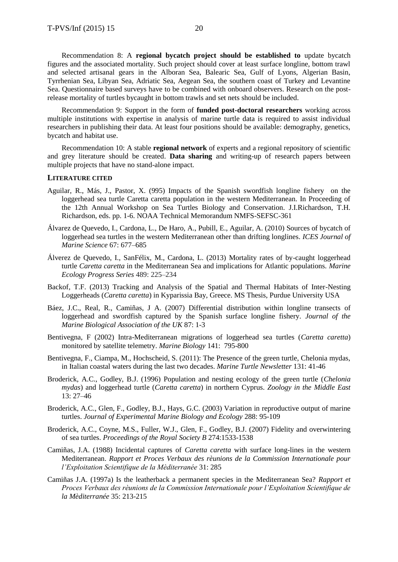Recommendation 8: A **regional bycatch project should be established to** update bycatch figures and the associated mortality. Such project should cover at least surface longline, bottom trawl and selected artisanal gears in the Alboran Sea, Balearic Sea, Gulf of Lyons, Algerian Basin, Tyrrhenian Sea, Libyan Sea, Adriatic Sea, Aegean Sea, the southern coast of Turkey and Levantine Sea. Questionnaire based surveys have to be combined with onboard observers. Research on the postrelease mortality of turtles bycaught in bottom trawls and set nets should be included.

Recommendation 9: Support in the form of **funded post-doctoral researchers** working across multiple institutions with expertise in analysis of marine turtle data is required to assist individual researchers in publishing their data. At least four positions should be available: demography, genetics, bycatch and habitat use.

Recommendation 10: A stable **regional network** of experts and a regional repository of scientific and grey literature should be created. **Data sharing** and writing-up of research papers between multiple projects that have no stand-alone impact.

# **LITERATURE CITED**

- Aguilar, R., Más, J., Pastor, X. (995) Impacts of the Spanish swordfish longline fishery on the loggerhead sea turtle Caretta caretta population in the western Mediterranean. In Proceeding of the 12th Annual Workshop on Sea Turtles Biology and Conservation. J.I.Richardson, T.H. Richardson, eds. pp. 1-6. NOAA Technical Memorandum NMFS-SEFSC-361
- Álvarez de Quevedo, I., Cardona, L., De Haro, A., Pubill, E., Aguilar, A. (2010) Sources of bycatch of loggerhead sea turtles in the western Mediterranean other than drifting longlines. *ICES Journal of Marine Science* 67: 677–685
- Álverez de Quevedo, I., SanFélix, M., Cardona, L. (2013) Mortality rates of by-caught loggerhead turtle *Caretta caretta* in the Mediterranean Sea and implications for Atlantic populations. *Marine Ecology Progress Series* 489: 225–234
- Backof, T.F. (2013) Tracking and Analysis of the Spatial and Thermal Habitats of Inter-Nesting Loggerheads (*Caretta caretta*) in Kyparissia Bay, Greece. MS Thesis, Purdue University USA
- Báez, J.C., Real, R., Camiñas, J A. (2007) Differential distribution within longline transects of loggerhead and swordfish captured by the Spanish surface longline fishery. *Journal of the Marine Biological Association of the UK* 87: 1-3
- Bentivegna, F (2002) Intra-Mediterranean migrations of loggerhead sea turtles (*Caretta caretta*) monitored by satellite telemetry. *Marine Biology* 141: 795-800
- Bentivegna, F., Ciampa, M., Hochscheid, S. (2011): The Presence of the green turtle, Chelonia mydas, in Italian coastal waters during the last two decades. *Marine Turtle Newsletter* 131: 41-46
- Broderick, A.C., Godley, B.J. (1996) Population and nesting ecology of the green turtle (*Chelonia mydas*) and loggerhead turtle (*Caretta caretta*) in northern Cyprus. *Zoology in the Middle East* 13: 27–46
- Broderick, A.C., Glen, F., Godley, B.J., Hays, G.C. (2003) Variation in reproductive output of marine turtles. *Journal of Experimental Marine Biology and Ecology* 288: 95-109
- Broderick, A.C., Coyne, M.S., Fuller, W.J., Glen, F., Godley, B.J. (2007) Fidelity and overwintering of sea turtles. *Proceedings of the Royal Society B* 274:1533-1538
- Camiñas, J.A. (1988) Incidental captures of *Caretta caretta* with surface long-lines in the western Mediterranean. *Rapport et Proces Verbaux des rèunions de la Commission Internationale pour l'Exploitation Scientifique de la Mèditerranée* 31: 285
- Camiñas J.A. (1997a) Is the leatherback a permanent species in the Mediterranean Sea? *Rapport et Proces Verbaux des rèunions de la Commission Internationale pour l'Exploitation Scientifique de la Mèditerranée* 35: 213-215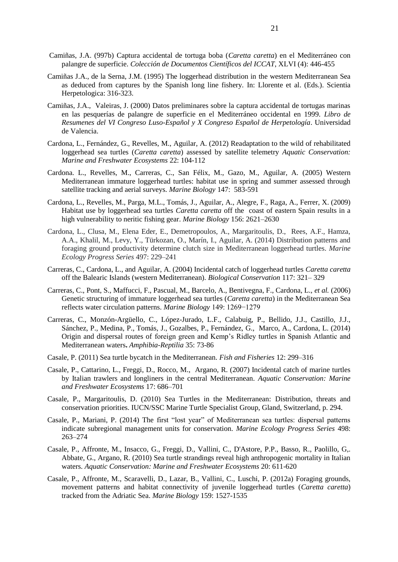- Camiñas, J.A. (997b) Captura accidental de tortuga boba (*Caretta caretta*) en el Mediterráneo con palangre de superficie. *Colección de Documentos Científicos del ICCAT*, XLVI (4): 446-455
- Camiñas J.A., de la Serna, J.M. (1995) The loggerhead distribution in the western Mediterranean Sea as deduced from captures by the Spanish long line fishery. In: Llorente et al. (Eds.). Scientia Herpetologica: 316-323.
- Camiñas, J.A., Valeiras, J. (2000) Datos preliminares sobre la captura accidental de tortugas marinas en las pesquerías de palangre de superficie en el Mediterráneo occidental en 1999. *Libro de Resumenes del VI Congreso Luso-Español y X Congreso Español de Herpetología*. Universidad de Valencia.
- Cardona, L., Fernández, G., Revelles, M., Aguilar, A. (2012) Readaptation to the wild of rehabilitated loggerhead sea turtles (*Caretta caretta*) assessed by satellite telemetry *Aquatic Conservation: Marine and Freshwater Ecosystems* 22: 104-112
- Cardona. L., Revelles, M., Carreras, C., San Félix, M., Gazo, M., Aguilar, A. (2005) Western Mediterranean immature loggerhead turtles: habitat use in spring and summer assessed through satellite tracking and aerial surveys. *Marine Biology* 147: 583-591
- Cardona, L., Revelles, M., Parga, M.L., Tomás, J., Aguilar, A., Alegre, F., Raga, A., Ferrer, X. (2009) Habitat use by loggerhead sea turtles *Caretta caretta* off the coast of eastern Spain results in a high vulnerability to neritic fishing gear. *Marine Biology* 156: 2621–2630
- Cardona, L., Clusa, M., Elena Eder, E., Demetropoulos, A., Margaritoulis, D., Rees, A.F., Hamza, A.A., Khalil, M., Levy, Y., Türkozan, O., Marín, I., Aguilar, A. (2014) Distribution patterns and foraging ground productivity determine clutch size in Mediterranean loggerhead turtles. *Marine Ecology Progress Series* 497: 229–241
- Carreras, C., Cardona, L., and Aguilar, A. (2004) Incidental catch of loggerhead turtles *Caretta caretta* off the Balearic Islands (western Mediterranean). *Biological Conservation* 117: 321– 329
- Carreras, C., Pont, S., Maffucci, F., Pascual, M., Barcelo, A., Bentivegna, F., Cardona, L., *et al.* (2006) Genetic structuring of immature loggerhead sea turtles (*Caretta caretta*) in the Mediterranean Sea reflects water circulation patterns. *Marine Biology* 149: 1269−1279
- Carreras, C., Monzón-Argüello, C., López-Jurado, L.F., Calabuig, P., Bellido, J.J., Castillo, J.J., Sánchez, P., Medina, P., Tomás, J., Gozalbes, P., Fernández, G., Marco, A., Cardona, L. (2014) Origin and dispersal routes of foreign green and Kemp's Ridley turtles in Spanish Atlantic and Mediterranean waters**.** *Amphibia-Reptilia* 35: 73-86
- Casale, P. (2011) Sea turtle bycatch in the Mediterranean. *Fish and Fisheries* 12: 299–316
- Casale, P., Cattarino, L., Freggi, D., Rocco, M., Argano, R. (2007) Incidental catch of marine turtles by Italian trawlers and longliners in the central Mediterranean. *Aquatic Conservation: Marine and Freshwater Ecosystems* 17: 686–701
- Casale, P., Margaritoulis, D. (2010) Sea Turtles in the Mediterranean: Distribution, threats and conservation priorities. IUCN/SSC Marine Turtle Specialist Group, Gland, Switzerland, p. 294.
- Casale, P., Mariani, P. (2014) The first "lost year" of Mediterranean sea turtles: dispersal patterns indicate subregional management units for conservation. *Marine Ecology Progress Series* 498: 263–274
- Casale, P., Affronte, M., Insacco, G., Freggi, D., Vallini, C., D'Astore, P.P., Basso, R., Paolillo, G,. Abbate, G., Argano, R. (2010) Sea turtle strandings reveal high anthropogenic mortality in Italian waters. *Aquatic Conservation: Marine and Freshwater Ecosystems* 20: 611-620
- Casale, P., Affronte, M., Scaravelli, D., Lazar, B., Vallini, C., Luschi, P. (2012a) Foraging grounds, movement patterns and habitat connectivity of juvenile loggerhead turtles (*Caretta caretta*) tracked from the Adriatic Sea. *Marine Biology* 159: 1527-1535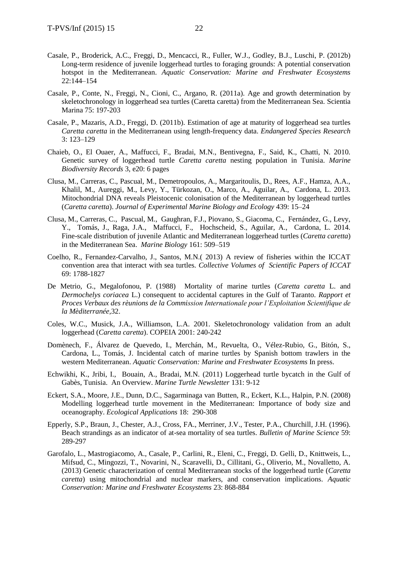- Casale, P., Broderick, A.C., Freggi, D., Mencacci, R., Fuller, W.J., Godley, B.J., Luschi, P. (2012b) Long-term residence of juvenile loggerhead turtles to foraging grounds: A potential conservation hotspot in the Mediterranean. *Aquatic Conservation: Marine and Freshwater Ecosystems* 22:144–154
- Casale, P., Conte, N., Freggi, N., Cioni, C., Argano, R. (2011a). Age and growth determination by skeletochronology in loggerhead sea turtles (Caretta caretta) from the Mediterranean Sea. Scientia Marina 75: 197-203
- Casale, P., Mazaris, A.D., Freggi, D. (2011b). Estimation of age at maturity of loggerhead sea turtles *Caretta caretta* in the Mediterranean using length-frequency data. *Endangered Species Research*  3: 123–129
- Chaieb, O., El Ouaer, A., Maffucci, F., Bradai, M.N., Bentivegna, F., Said, K., Chatti, N. 2010. Genetic survey of loggerhead turtle *Caretta caretta* nesting population in Tunisia. *Marine Biodiversity Records* 3, e20: 6 pages
- Clusa, M., Carreras, C., Pascual, M., Demetropoulos, A., Margaritoulis, D., Rees, A.F., Hamza, A.A., Khalil, M., Aureggi, M., Levy, Y., Türkozan, O., Marco, A., Aguilar, A., Cardona, L. 2013. Mitochondrial DNA reveals Pleistocenic colonisation of the Mediterranean by loggerhead turtles (*Caretta caretta*). *Journal of Experimental Marine Biology and Ecology* 439: 15–24
- Clusa, M., Carreras, C., Pascual, M., Gaughran, F.J., Piovano, S., Giacoma, C., Fernández, G., Levy, Y., Tomás, J., Raga, J.A., Maffucci, F., Hochscheid, S., Aguilar, A., Cardona, L. 2014. Fine-scale distribution of juvenile Atlantic and Mediterranean loggerhead turtles (*Caretta caretta*) in the Mediterranean Sea. *Marine Biology* 161: 509–519
- Coelho, R., Fernandez-Carvalho, J., Santos, M.N.( 2013) A review of fisheries within the ICCAT convention area that interact with sea turtles. *Collective Volumes of Scientific Papers of ICCAT* 69: 1788-1827
- De Metrio, G., Megalofonou, P. (1988) Mortality of marine turtles (*Caretta caretta* L. and *Dermochelys coriacea* L.) consequent to accidental captures in the Gulf of Taranto. *Rapport et Proces Verbaux des rèunions de la Commission Internationale pour l'Exploitation Scientifique de la Mèditerranée,*32.
- Coles, W.C., Musick, J.A., Williamson, L.A. 2001. Skeletochronology validation from an adult loggerhead (*Caretta caretta*). COPEIA 2001: 240-242
- Domènech, F., Álvarez de Quevedo, I., Merchán, M., Revuelta, O., Vélez-Rubio, G., Bitón, S., Cardona, L., Tomás, J. Incidental catch of marine turtles by Spanish bottom trawlers in the western Mediterranean. *Aquatic Conservation: Marine and Freshwater Ecosystems* In press.
- Echwikhi, K., Jribi, I., Bouain, A., Bradai, M.N. (2011) Loggerhead turtle bycatch in the Gulf of Gabès, Tunisia. An Overview. *Marine Turtle Newsletter* 131: 9-12
- Eckert, S.A., Moore, J.E., Dunn, D.C., Sagarminaga van Butten, R., Eckert, K.L., Halpin, P.N. (2008) Modelling loggerhead turtle movement in the Mediterranean: Importance of body size and oceanography. *Ecological Applications* 18: 290-308
- Epperly, S.P., Braun, J., Chester, A.J., Cross, FA., Merriner, J.V., Tester, P.A., Churchill, J.H. (1996). Beach strandings as an indicator of at-sea mortality of sea turtles. *Bulletin of Marine Science* 59: 289-297
- Garofalo, L., Mastrogiacomo, A., Casale, P., Carlini, R., Eleni, C., Freggi, D. Gelli, D., Knittweis, L., Mifsud, C., Mingozzi, T., Novarini, N., Scaravelli, D., Cillitani, G., Oliverio, M., Novalletto, A. (2013) Genetic characterization of central Mediterranean stocks of the loggerhead turtle (*Caretta caretta*) using mitochondrial and nuclear markers, and conservation implications. *Aquatic Conservation: Marine and Freshwater Ecosystems* 23: 868-884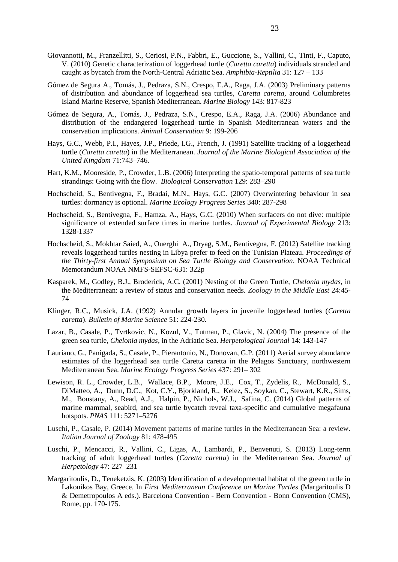- Giovannotti, M., Franzellitti, S., Ceriosi, P.N., Fabbri, E., Guccione, S., Vallini, C., Tinti, F., Caputo, V. (2010) Genetic characterization of loggerhead turtle (*Caretta caretta*) individuals stranded and caught as bycatch from the North-Central Adriatic Sea. *[Amphibia-Reptilia](http://booksandjournals.brillonline.com/content/journals/15685381;jsessionid=1vlhg4u615o81.x-brill-live-02)* 31: 127 – 133
- Gómez de Segura A., Tomás, J., Pedraza, S.N., Crespo, E.A., Raga, J.A. (2003) Preliminary patterns of distribution and abundance of loggerhead sea turtles, *Caretta caretta*, around Columbretes Island Marine Reserve, Spanish Mediterranean. *Marine Biology* 143: 817-823
- Gómez de Segura, A., Tomás, J., Pedraza, S.N., Crespo, E.A., Raga, J.A. (2006) Abundance and distribution of the endangered loggerhead turtle in Spanish Mediterranean waters and the conservation implications. *Animal Conservation* 9: 199-206
- Hays, G.C., Webb, P.I., Hayes, J.P., Priede, I.G., French, J. (1991) Satellite tracking of a loggerhead turtle (*Caretta caretta*) in the Mediterranean. *Journal of the Marine Biological Association of the United Kingdom* 71:743–746.
- Hart, K.M., Mooreside, P., Crowder, L.B. (2006) Interpreting the spatio-temporal patterns of sea turtle strandings: Going with the flow. *Biological Conservation* 129: 283–290
- Hochscheid, S., Bentivegna, F., Bradai, M.N., Hays, G.C. (2007) Overwintering behaviour in sea turtles: dormancy is optional. *Marine Ecology Progress Series* 340: 287-298
- Hochscheid, S., Bentivegna, F., Hamza, A., Hays, G.C. (2010) When surfacers do not dive: multiple significance of extended surface times in marine turtles. *Journal of Experimental Biology* 213: 1328-1337
- Hochscheid, S., Mokhtar Saied, A., Ouerghi A., Dryag, S.M., Bentivegna, F. (2012) Satellite tracking reveals loggerhead turtles nesting in Libya prefer to feed on the Tunisian Plateau. *Proceedings of the Thirty-first Annual Symposium on Sea Turtle Biology and Conservation*. NOAA Technical Memorandum NOAA NMFS-SEFSC-631: 322p
- Kasparek, M., Godley, B.J., Broderick, A.C. (2001) Nesting of the Green Turtle, *Chelonia mydas*, in the Mediterranean: a review of status and conservation needs*. Zoology in the Middle East* 24:45- 74
- Klinger, R.C., Musick, J.A. (1992) Annular growth layers in juvenile loggerhead turtles (*Caretta caretta*). *Bulletin of Marine Science* 51: 224-230.
- Lazar, B., Casale, P., Tvrtkovic, N., Kozul, V., Tutman, P., Glavic, N. (2004) The presence of the green sea turtle, *Chelonia mydas*, in the Adriatic Sea. *Herpetological Journal* 14: 143-147
- Lauriano, G., Panigada, S., Casale, P., Pierantonio, N., Donovan, G.P. (2011) Aerial survey abundance estimates of the loggerhead sea turtle Caretta caretta in the Pelagos Sanctuary, northwestern Mediterranean Sea. *Marine Ecology Progress Series* 437: 291– 302
- Lewison, R. L., Crowder, L.B., Wallace, B.P., Moore, J.E., Cox, T., Zydelis, R., McDonald, S., DiMatteo, A., Dunn, D.C., Kot, C.Y., Bjorkland, R., Kelez, S., Soykan, C., Stewart, K.R., Sims, M., Boustany, A., Read, A.J., Halpin, P., Nichols, W.J., Safina, C. (2014) Global patterns of marine mammal, seabird, and sea turtle bycatch reveal taxa-specific and cumulative megafauna hotspots. *PNAS* 111: 5271–5276
- Luschi, P., Casale, P. (2014) Movement patterns of marine turtles in the Mediterranean Sea: a review. *Italian Journal of Zoology* 81: 478-495
- Luschi, P., Mencacci, R., Vallini, C., Ligas, A., Lambardi, P., Benvenuti, S. (2013) Long-term tracking of adult loggerhead turtles (*Caretta caretta*) in the Mediterranean Sea. *Journal of Herpetology* 47: 227–231
- Margaritoulis, D., Teneketzis, K. (2003) Identification of a developmental habitat of the green turtle in Lakonikos Bay, Greece. In *First Mediterranean Conference on Marine Turtles* (Margaritoulis D & Demetropoulos A eds.). Barcelona Convention - Bern Convention - Bonn Convention (CMS), Rome, pp. 170-175.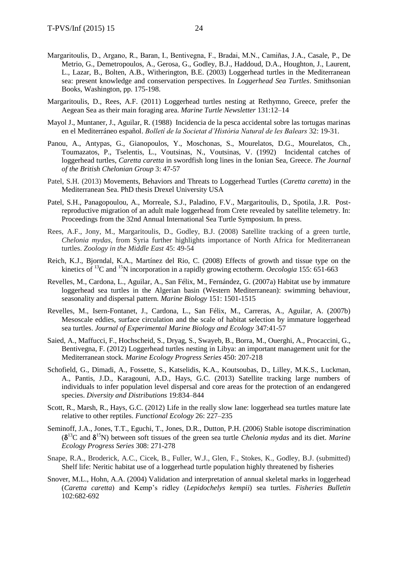- Margaritoulis, D., Argano, R., Baran, I., Bentivegna, F., Bradai, M.N., Camiñas, J.A., Casale, P., De Metrio, G., Demetropoulos, A., Gerosa, G., Godley, B.J., Haddoud, D.A., Houghton, J., Laurent, L., Lazar, B., Bolten, A.B., Witherington, B.E. (2003) Loggerhead turtles in the Mediterranean sea: present knowledge and conservation perspectives. In *Loggerhead Sea Turtles*. Smithsonian Books, Washington, pp. 175-198.
- Margaritoulis, D., Rees, A.F. (2011) Loggerhead turtles nesting at Rethymno, Greece, prefer the Aegean Sea as their main foraging area. *Marine Turtle Newsletter* 131:12–14
- Mayol J., Muntaner, J., Aguilar, R. (1988) Incidencia de la pesca accidental sobre las tortugas marinas en el Mediterráneo español. *Bolletí de la Societat d'Història Natural de les Balears* 32: 19-31.
- Panou, A., Antypas, G., Gianopoulos, Y., Moschonas, S., Mourelatos, D.G., Mourelatos, Ch., Toumazatos, P., Tselentis, L., Voutsinas, N., Voutsinas, V. (1992) Incidental catches of loggerhead turtles, *Caretta caretta* in swordfish long lines in the Ionian Sea, Greece. *The Journal of the British Chelonian Group* 3: 47-57
- Patel, S.H. (2013) Movements, Behaviors and Threats to Loggerhead Turtles (*Caretta caretta*) in the Mediterranean Sea. PhD thesis Drexel University USA
- Patel, S.H., Panagopoulou, A., Morreale, S.J., Paladino, F.V., Margaritoulis, D., Spotila, J.R. Postreproductive migration of an adult male loggerhead from Crete revealed by satellite telemetry. In: Proceedings from the 32nd Annual International Sea Turtle Symposium. In press.
- Rees, A.F., Jony, M., Margaritoulis, D., Godley, B.J. (2008) Satellite tracking of a green turtle, *Chelonia mydas*, from Syria further highlights importance of North Africa for Mediterranean turtles. *Zoology in the Middle East* 45: 49-54
- Reich, K.J., Bjorndal, K.A., Martínez del Rio, C. (2008) Effects of growth and tissue type on the kinetics of <sup>13</sup>C and <sup>15</sup>N incorporation in a rapidly growing ectotherm. *Oecologia* 155: 651-663
- Revelles, M., Cardona, L., Aguilar, A., San Félix, M., Fernández, G. (2007a) Habitat use by immature loggerhead sea turtles in the Algerian basin (Western Mediterranean): swimming behaviour, seasonality and dispersal pattern*. Marine Biology* 151: 1501-1515
- Revelles, M., Isern-Fontanet, J., Cardona, L., San Félix, M., Carreras, A., Aguilar, A. (2007b) Mesoscale eddies, surface circulation and the scale of habitat selection by immature loggerhead sea turtles. *Journal of Experimental Marine Biology and Ecology* 347:41-57
- Saied, A., Maffucci, F., Hochscheid, S., Dryag, S., Swayeb, B., Borra, M., Ouerghi, A., Procaccini, G., Bentivegna, F. (2012) Loggerhead turtles nesting in Libya: an important management unit for the Mediterranean stock. *Marine Ecology Progress Series* 450: 207-218
- Schofield, G., Dimadi, A., Fossette, S., Katselidis, K.A., Koutsoubas, D., Lilley, M.K.S., Luckman, A., Pantis, J.D., Karagouni, A.D., Hays, G.C. (2013) Satellite tracking large numbers of individuals to infer population level dispersal and core areas for the protection of an endangered species. *Diversity and Distributions* 19:834–844
- Scott, R., Marsh, R., Hays, G.C. (2012) Life in the really slow lane: loggerhead sea turtles mature late relative to other reptiles. *Functional Ecology* 26: 227–235
- Seminoff, J.A., Jones, T.T., Eguchi, T., Jones, D.R., Dutton, P.H. (2006) Stable isotope discrimination  $(\delta^{13}C \text{ and } \delta^{15}N)$  between soft tissues of the green sea turtle *Chelonia mydas* and its diet. *Marine Ecology Progress Series* 308: 271-278
- Snape, R.A., Broderick, A.C., Cicek, B., Fuller, W.J., Glen, F., Stokes, K., Godley, B.J. (submitted) Shelf life: Neritic habitat use of a loggerhead turtle population highly threatened by fisheries
- Snover, M.L., Hohn, A.A. (2004) Validation and interpretation of annual skeletal marks in loggerhead (*Caretta caretta*) and Kemp's ridley (*Lepidochelys kempii*) sea turtles. *Fisheries Bulletin* 102:682-692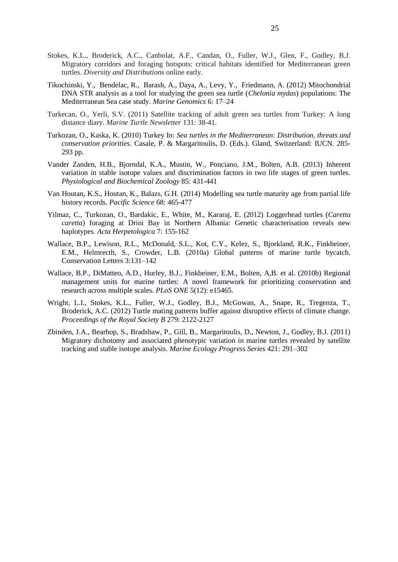- Stokes, K.L., Broderick, A.C., Canbolat, A.F., Candan, O., Fuller, W.J., Glen, F., Godley, B.J. Migratory corridors and foraging hotspots: critical habitats identified for Mediterranean green turtles. *Diversity and Distributions* online early.
- Tikochinski, Y., Bendelac, R., Barash, A., Daya, A., Levy, Y., Friedmann, A. (2012) Mitochondrial DNA STR analysis as a tool for studying the green sea turtle (*Chelonia mydas*) populations: The Mediterranean Sea case study. *Marine Genomics* 6: 17–24
- Turkecan, O., Yerli, S.V. (2011) Satellite tracking of adult green sea turtles from Turkey: A long distance diary. *Marine Turtle Newsletter* 131: 38-41.
- Turkozan, O., Kaska, K. (2010) Turkey In: *Sea turtles in the Mediterranean: Distribution, threats and conservation priorities.* Casale, P. & Margaritoulis, D. (Eds.). Gland, Switzerland: IUCN. 285- 293 pp.
- Vander Zanden, H.B., Bjorndal, K.A., Mustin, W., Ponciano, J.M., Bolten, A.B. (2013) Inherent variation in stable isotope values and discrimination factors in two life stages of green turtles. *Physiological and Biochemical Zoology* 85: 431-441
- Van Houtan, K.S., Houtan, K., Balazs, G.H. (2014) Modelling sea turtle maturity age from partial life history records. *Pacific Science* 68: 465-477
- Yilmaz, C., Turkozan, O., Bardakic, E., White, M., Kararaj, E. (2012) Loggerhead turtles (*Caretta caretta*) foraging at Drini Bay in Northern Albania: Genetic characterisation reveals new haplotypes. *Acta Herpetologica* 7: 155-162
- Wallace, B.P., Lewison, R.L., McDonald, S.L., Kot, C.Y., Kelez, S., Bjorkland, R.K., Finkbeiner, E.M., Helmrecth, S., Crowder, L.B. (2010a) Global patterns of marine turtle bycatch. Conservation Letters 3:131–142
- Wallace, B.P., DiMatteo, A.D., Hurley, B.J., Finkbeiner, E.M., Bolten, A,B. et al. (2010b) Regional management units for marine turtles: A novel framework for prioritizing conservation and research across multiple scales. *PLoS ONE* 5(12): e15465.
- Wright, L.I., Stokes, K.L., Fuller, W.J., Godley, B.J., McGowan, A., Snape, R., Tregenza, T., Broderick, A.C. (2012) Turtle mating patterns buffer against disruptive effects of climate change. *Proceedings of the Royal Society B* 279: 2122-2127
- Zbinden, J.A., Bearhop, S., Bradshaw, P., Gill, B., Margaritoulis, D., Newton, J., Godley, B.J. (2011) Migratory dichotomy and associated phenotypic variation in marine turtles revealed by satellite tracking and stable isotope analysis. *Marine Ecology Progress Series* 421: 291–302